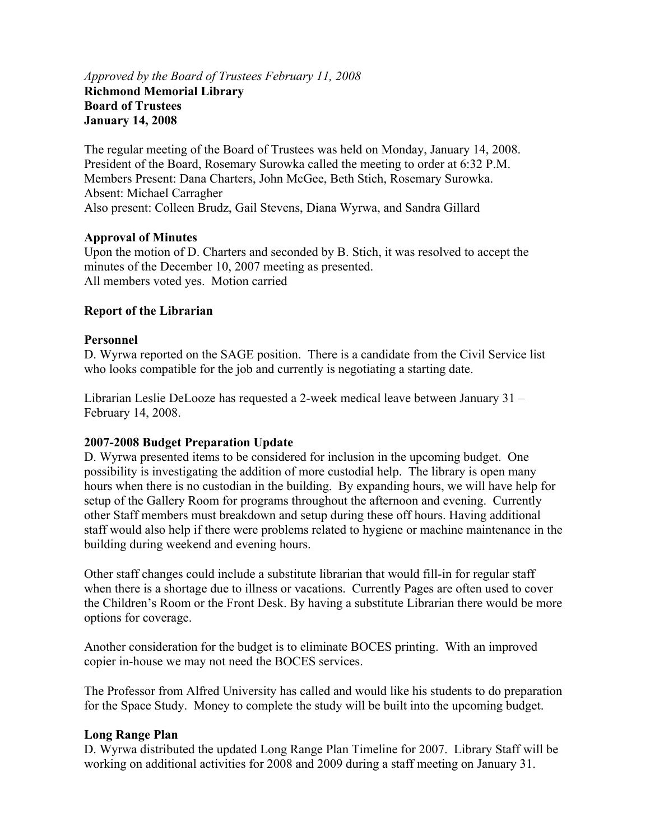# *Approved by the Board of Trustees February 11, 2008*  **Richmond Memorial Library Board of Trustees January 14, 2008**

The regular meeting of the Board of Trustees was held on Monday, January 14, 2008. President of the Board, Rosemary Surowka called the meeting to order at 6:32 P.M. Members Present: Dana Charters, John McGee, Beth Stich, Rosemary Surowka. Absent: Michael Carragher Also present: Colleen Brudz, Gail Stevens, Diana Wyrwa, and Sandra Gillard

#### **Approval of Minutes**

Upon the motion of D. Charters and seconded by B. Stich, it was resolved to accept the minutes of the December 10, 2007 meeting as presented. All members voted yes. Motion carried

# **Report of the Librarian**

#### **Personnel**

D. Wyrwa reported on the SAGE position. There is a candidate from the Civil Service list who looks compatible for the job and currently is negotiating a starting date.

Librarian Leslie DeLooze has requested a 2-week medical leave between January 31 – February 14, 2008.

#### **2007-2008 Budget Preparation Update**

D. Wyrwa presented items to be considered for inclusion in the upcoming budget. One possibility is investigating the addition of more custodial help. The library is open many hours when there is no custodian in the building. By expanding hours, we will have help for setup of the Gallery Room for programs throughout the afternoon and evening. Currently other Staff members must breakdown and setup during these off hours. Having additional staff would also help if there were problems related to hygiene or machine maintenance in the building during weekend and evening hours.

Other staff changes could include a substitute librarian that would fill-in for regular staff when there is a shortage due to illness or vacations. Currently Pages are often used to cover the Children's Room or the Front Desk. By having a substitute Librarian there would be more options for coverage.

Another consideration for the budget is to eliminate BOCES printing. With an improved copier in-house we may not need the BOCES services.

The Professor from Alfred University has called and would like his students to do preparation for the Space Study. Money to complete the study will be built into the upcoming budget.

#### **Long Range Plan**

D. Wyrwa distributed the updated Long Range Plan Timeline for 2007. Library Staff will be working on additional activities for 2008 and 2009 during a staff meeting on January 31.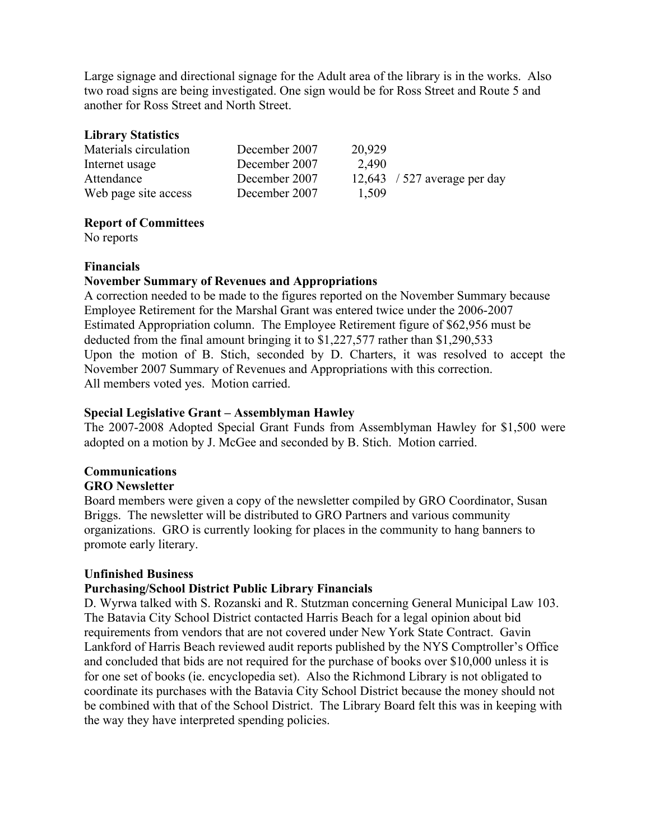Large signage and directional signage for the Adult area of the library is in the works. Also two road signs are being investigated. One sign would be for Ross Street and Route 5 and another for Ross Street and North Street.

### **Library Statistics**

| Materials circulation | December 2007 | 20,929 |                              |
|-----------------------|---------------|--------|------------------------------|
| Internet usage        | December 2007 | 2,490  |                              |
| Attendance            | December 2007 |        | 12,643 / 527 average per day |
| Web page site access  | December 2007 | 1.509  |                              |

# **Report of Committees**

No reports

#### **Financials**

#### **November Summary of Revenues and Appropriations**

A correction needed to be made to the figures reported on the November Summary because Employee Retirement for the Marshal Grant was entered twice under the 2006-2007 Estimated Appropriation column. The Employee Retirement figure of \$62,956 must be deducted from the final amount bringing it to \$1,227,577 rather than \$1,290,533 Upon the motion of B. Stich, seconded by D. Charters, it was resolved to accept the November 2007 Summary of Revenues and Appropriations with this correction. All members voted yes. Motion carried.

# **Special Legislative Grant – Assemblyman Hawley**

The 2007-2008 Adopted Special Grant Funds from Assemblyman Hawley for \$1,500 were adopted on a motion by J. McGee and seconded by B. Stich. Motion carried.

# **Communications**

#### **GRO Newsletter**

Board members were given a copy of the newsletter compiled by GRO Coordinator, Susan Briggs. The newsletter will be distributed to GRO Partners and various community organizations. GRO is currently looking for places in the community to hang banners to promote early literary.

#### **Unfinished Business**

#### **Purchasing/School District Public Library Financials**

D. Wyrwa talked with S. Rozanski and R. Stutzman concerning General Municipal Law 103. The Batavia City School District contacted Harris Beach for a legal opinion about bid requirements from vendors that are not covered under New York State Contract. Gavin Lankford of Harris Beach reviewed audit reports published by the NYS Comptroller's Office and concluded that bids are not required for the purchase of books over \$10,000 unless it is for one set of books (ie. encyclopedia set). Also the Richmond Library is not obligated to coordinate its purchases with the Batavia City School District because the money should not be combined with that of the School District. The Library Board felt this was in keeping with the way they have interpreted spending policies.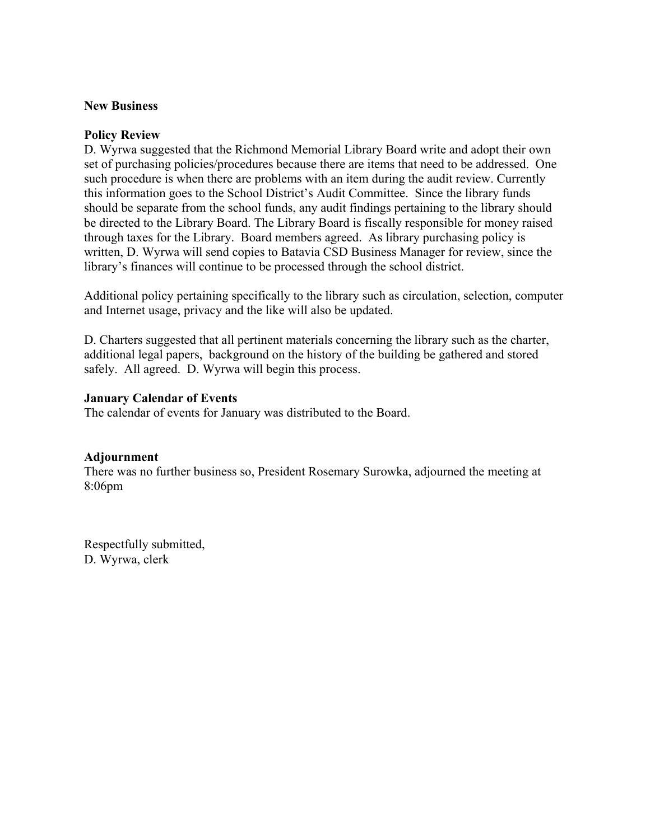#### **New Business**

#### **Policy Review**

D. Wyrwa suggested that the Richmond Memorial Library Board write and adopt their own set of purchasing policies/procedures because there are items that need to be addressed. One such procedure is when there are problems with an item during the audit review. Currently this information goes to the School District's Audit Committee. Since the library funds should be separate from the school funds, any audit findings pertaining to the library should be directed to the Library Board. The Library Board is fiscally responsible for money raised through taxes for the Library. Board members agreed. As library purchasing policy is written, D. Wyrwa will send copies to Batavia CSD Business Manager for review, since the library's finances will continue to be processed through the school district.

Additional policy pertaining specifically to the library such as circulation, selection, computer and Internet usage, privacy and the like will also be updated.

D. Charters suggested that all pertinent materials concerning the library such as the charter, additional legal papers, background on the history of the building be gathered and stored safely. All agreed. D. Wyrwa will begin this process.

#### **January Calendar of Events**

The calendar of events for January was distributed to the Board.

#### **Adjournment**

There was no further business so, President Rosemary Surowka, adjourned the meeting at 8:06pm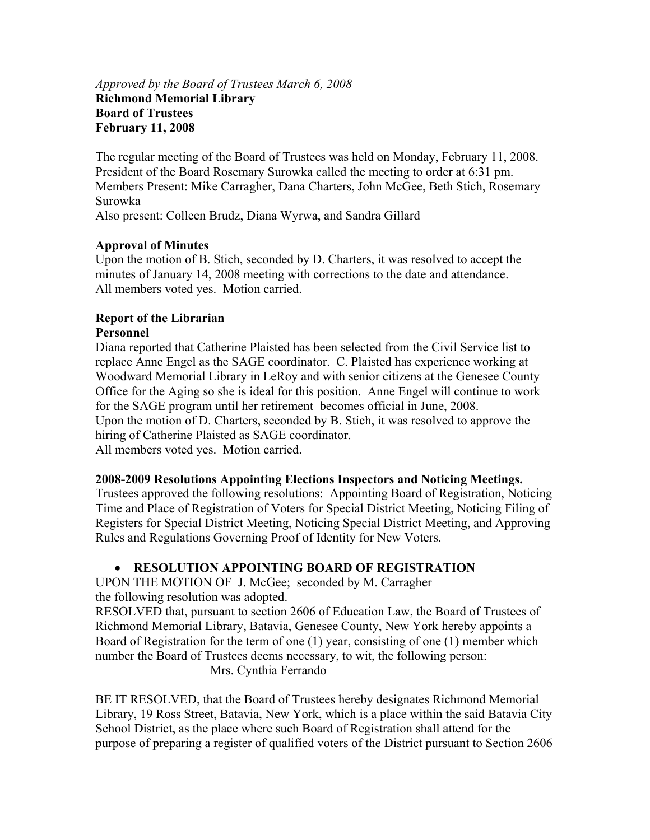# *Approved by the Board of Trustees March 6, 2008* **Richmond Memorial Library Board of Trustees February 11, 2008**

The regular meeting of the Board of Trustees was held on Monday, February 11, 2008. President of the Board Rosemary Surowka called the meeting to order at 6:31 pm. Members Present: Mike Carragher, Dana Charters, John McGee, Beth Stich, Rosemary Surowka Also present: Colleen Brudz, Diana Wyrwa, and Sandra Gillard

# **Approval of Minutes**

Upon the motion of B. Stich, seconded by D. Charters, it was resolved to accept the minutes of January 14, 2008 meeting with corrections to the date and attendance. All members voted yes. Motion carried.

#### **Report of the Librarian Personnel**

Diana reported that Catherine Plaisted has been selected from the Civil Service list to replace Anne Engel as the SAGE coordinator. C. Plaisted has experience working at Woodward Memorial Library in LeRoy and with senior citizens at the Genesee County Office for the Aging so she is ideal for this position. Anne Engel will continue to work for the SAGE program until her retirement becomes official in June, 2008. Upon the motion of D. Charters, seconded by B. Stich, it was resolved to approve the hiring of Catherine Plaisted as SAGE coordinator. All members voted yes. Motion carried.

#### **2008-2009 Resolutions Appointing Elections Inspectors and Noticing Meetings.**

Trustees approved the following resolutions: Appointing Board of Registration, Noticing Time and Place of Registration of Voters for Special District Meeting, Noticing Filing of Registers for Special District Meeting, Noticing Special District Meeting, and Approving Rules and Regulations Governing Proof of Identity for New Voters.

#### **RESOLUTION APPOINTING BOARD OF REGISTRATION**

UPON THE MOTION OF J. McGee; seconded by M. Carragher the following resolution was adopted.

RESOLVED that, pursuant to section 2606 of Education Law, the Board of Trustees of Richmond Memorial Library, Batavia, Genesee County, New York hereby appoints a Board of Registration for the term of one (1) year, consisting of one (1) member which number the Board of Trustees deems necessary, to wit, the following person:

Mrs. Cynthia Ferrando

BE IT RESOLVED, that the Board of Trustees hereby designates Richmond Memorial Library, 19 Ross Street, Batavia, New York, which is a place within the said Batavia City School District, as the place where such Board of Registration shall attend for the purpose of preparing a register of qualified voters of the District pursuant to Section 2606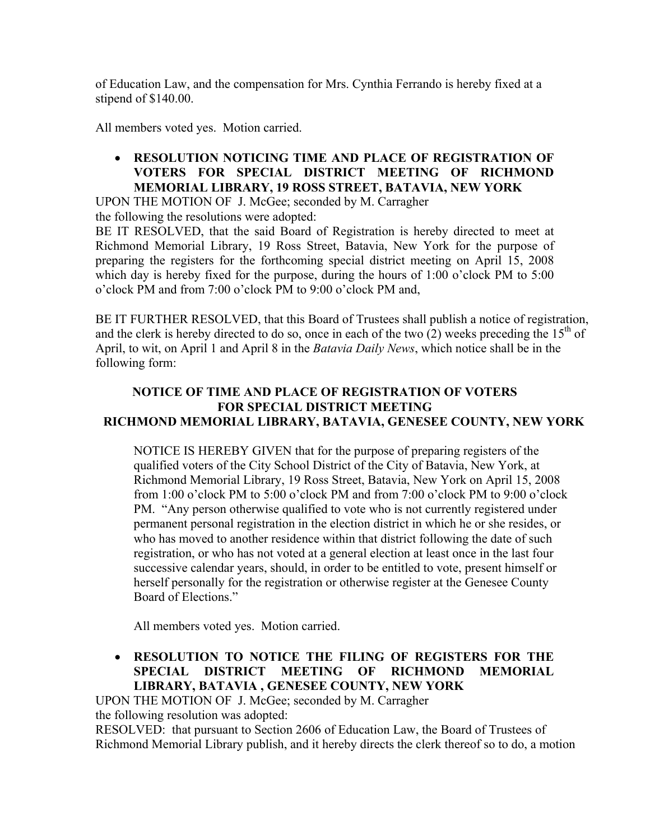of Education Law, and the compensation for Mrs. Cynthia Ferrando is hereby fixed at a stipend of \$140.00.

All members voted yes. Motion carried.

 **RESOLUTION NOTICING TIME AND PLACE OF REGISTRATION OF VOTERS FOR SPECIAL DISTRICT MEETING OF RICHMOND MEMORIAL LIBRARY, 19 ROSS STREET, BATAVIA, NEW YORK** 

UPON THE MOTION OF J. McGee; seconded by M. Carragher the following the resolutions were adopted:

BE IT RESOLVED, that the said Board of Registration is hereby directed to meet at Richmond Memorial Library, 19 Ross Street, Batavia, New York for the purpose of preparing the registers for the forthcoming special district meeting on April 15, 2008 which day is hereby fixed for the purpose, during the hours of 1:00 o'clock PM to 5:00 o'clock PM and from 7:00 o'clock PM to 9:00 o'clock PM and,

BE IT FURTHER RESOLVED, that this Board of Trustees shall publish a notice of registration, and the clerk is hereby directed to do so, once in each of the two (2) weeks preceding the  $15<sup>th</sup>$  of April, to wit, on April 1 and April 8 in the *Batavia Daily News*, which notice shall be in the following form:

# **NOTICE OF TIME AND PLACE OF REGISTRATION OF VOTERS FOR SPECIAL DISTRICT MEETING RICHMOND MEMORIAL LIBRARY, BATAVIA, GENESEE COUNTY, NEW YORK**

NOTICE IS HEREBY GIVEN that for the purpose of preparing registers of the qualified voters of the City School District of the City of Batavia, New York, at Richmond Memorial Library, 19 Ross Street, Batavia, New York on April 15, 2008 from 1:00 o'clock PM to 5:00 o'clock PM and from 7:00 o'clock PM to 9:00 o'clock PM. "Any person otherwise qualified to vote who is not currently registered under permanent personal registration in the election district in which he or she resides, or who has moved to another residence within that district following the date of such registration, or who has not voted at a general election at least once in the last four successive calendar years, should, in order to be entitled to vote, present himself or herself personally for the registration or otherwise register at the Genesee County Board of Elections."

All members voted yes. Motion carried.

# **RESOLUTION TO NOTICE THE FILING OF REGISTERS FOR THE SPECIAL DISTRICT MEETING OF RICHMOND MEMORIAL LIBRARY, BATAVIA , GENESEE COUNTY, NEW YORK**

UPON THE MOTION OF J. McGee; seconded by M. Carragher the following resolution was adopted:

RESOLVED: that pursuant to Section 2606 of Education Law, the Board of Trustees of Richmond Memorial Library publish, and it hereby directs the clerk thereof so to do, a motion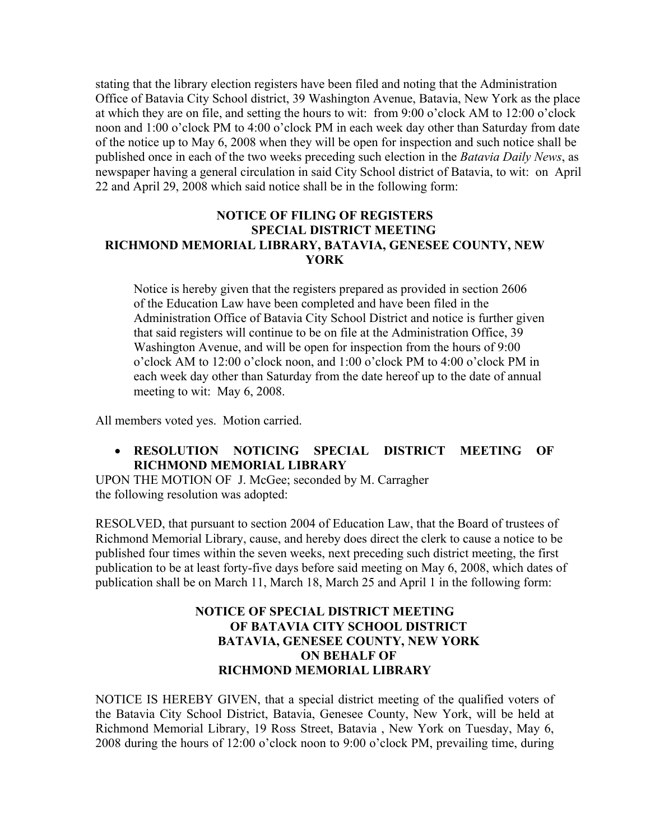stating that the library election registers have been filed and noting that the Administration Office of Batavia City School district, 39 Washington Avenue, Batavia, New York as the place at which they are on file, and setting the hours to wit: from 9:00 o'clock AM to 12:00 o'clock noon and 1:00 o'clock PM to 4:00 o'clock PM in each week day other than Saturday from date of the notice up to May 6, 2008 when they will be open for inspection and such notice shall be published once in each of the two weeks preceding such election in the *Batavia Daily News*, as newspaper having a general circulation in said City School district of Batavia, to wit: on April 22 and April 29, 2008 which said notice shall be in the following form:

### **NOTICE OF FILING OF REGISTERS SPECIAL DISTRICT MEETING RICHMOND MEMORIAL LIBRARY, BATAVIA, GENESEE COUNTY, NEW YORK**

 Notice is hereby given that the registers prepared as provided in section 2606 of the Education Law have been completed and have been filed in the Administration Office of Batavia City School District and notice is further given that said registers will continue to be on file at the Administration Office, 39 Washington Avenue, and will be open for inspection from the hours of 9:00 o'clock AM to 12:00 o'clock noon, and 1:00 o'clock PM to 4:00 o'clock PM in each week day other than Saturday from the date hereof up to the date of annual meeting to wit: May 6, 2008.

All members voted yes. Motion carried.

 **RESOLUTION NOTICING SPECIAL DISTRICT MEETING OF RICHMOND MEMORIAL LIBRARY** 

UPON THE MOTION OF J. McGee; seconded by M. Carragher the following resolution was adopted:

RESOLVED, that pursuant to section 2004 of Education Law, that the Board of trustees of Richmond Memorial Library, cause, and hereby does direct the clerk to cause a notice to be published four times within the seven weeks, next preceding such district meeting, the first publication to be at least forty-five days before said meeting on May 6, 2008, which dates of publication shall be on March 11, March 18, March 25 and April 1 in the following form:

# **NOTICE OF SPECIAL DISTRICT MEETING OF BATAVIA CITY SCHOOL DISTRICT BATAVIA, GENESEE COUNTY, NEW YORK ON BEHALF OF RICHMOND MEMORIAL LIBRARY**

NOTICE IS HEREBY GIVEN, that a special district meeting of the qualified voters of the Batavia City School District, Batavia, Genesee County, New York, will be held at Richmond Memorial Library, 19 Ross Street, Batavia , New York on Tuesday, May 6, 2008 during the hours of 12:00 o'clock noon to 9:00 o'clock PM, prevailing time, during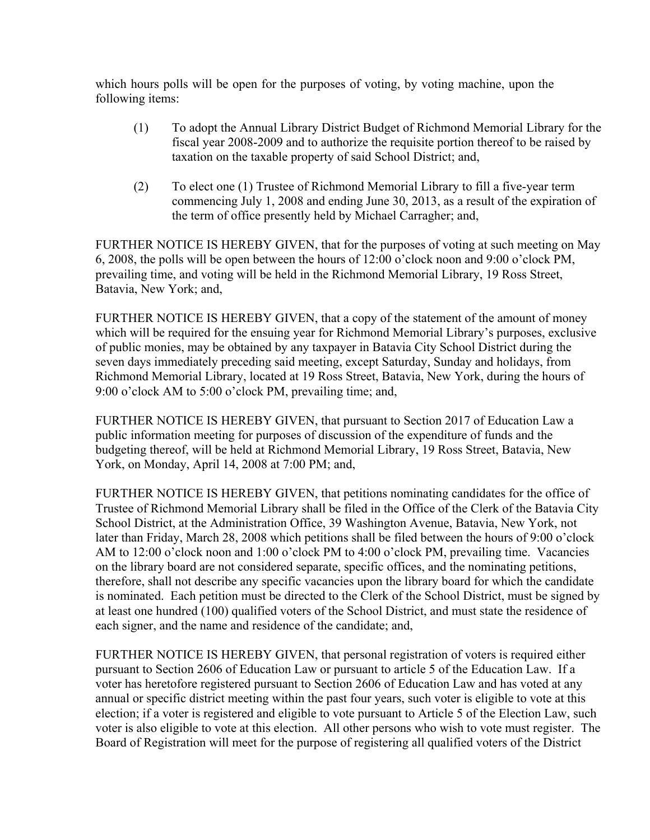which hours polls will be open for the purposes of voting, by voting machine, upon the following items:

- (1) To adopt the Annual Library District Budget of Richmond Memorial Library for the fiscal year 2008-2009 and to authorize the requisite portion thereof to be raised by taxation on the taxable property of said School District; and,
- (2) To elect one (1) Trustee of Richmond Memorial Library to fill a five-year term commencing July 1, 2008 and ending June 30, 2013, as a result of the expiration of the term of office presently held by Michael Carragher; and,

FURTHER NOTICE IS HEREBY GIVEN, that for the purposes of voting at such meeting on May 6, 2008, the polls will be open between the hours of 12:00 o'clock noon and 9:00 o'clock PM, prevailing time, and voting will be held in the Richmond Memorial Library, 19 Ross Street, Batavia, New York; and,

FURTHER NOTICE IS HEREBY GIVEN, that a copy of the statement of the amount of money which will be required for the ensuing year for Richmond Memorial Library's purposes, exclusive of public monies, may be obtained by any taxpayer in Batavia City School District during the seven days immediately preceding said meeting, except Saturday, Sunday and holidays, from Richmond Memorial Library, located at 19 Ross Street, Batavia, New York, during the hours of 9:00 o'clock AM to 5:00 o'clock PM, prevailing time; and,

FURTHER NOTICE IS HEREBY GIVEN, that pursuant to Section 2017 of Education Law a public information meeting for purposes of discussion of the expenditure of funds and the budgeting thereof, will be held at Richmond Memorial Library, 19 Ross Street, Batavia, New York, on Monday, April 14, 2008 at 7:00 PM; and,

FURTHER NOTICE IS HEREBY GIVEN, that petitions nominating candidates for the office of Trustee of Richmond Memorial Library shall be filed in the Office of the Clerk of the Batavia City School District, at the Administration Office, 39 Washington Avenue, Batavia, New York, not later than Friday, March 28, 2008 which petitions shall be filed between the hours of 9:00 o'clock AM to 12:00 o'clock noon and 1:00 o'clock PM to 4:00 o'clock PM, prevailing time. Vacancies on the library board are not considered separate, specific offices, and the nominating petitions, therefore, shall not describe any specific vacancies upon the library board for which the candidate is nominated. Each petition must be directed to the Clerk of the School District, must be signed by at least one hundred (100) qualified voters of the School District, and must state the residence of each signer, and the name and residence of the candidate; and,

FURTHER NOTICE IS HEREBY GIVEN, that personal registration of voters is required either pursuant to Section 2606 of Education Law or pursuant to article 5 of the Education Law. If a voter has heretofore registered pursuant to Section 2606 of Education Law and has voted at any annual or specific district meeting within the past four years, such voter is eligible to vote at this election; if a voter is registered and eligible to vote pursuant to Article 5 of the Election Law, such voter is also eligible to vote at this election. All other persons who wish to vote must register. The Board of Registration will meet for the purpose of registering all qualified voters of the District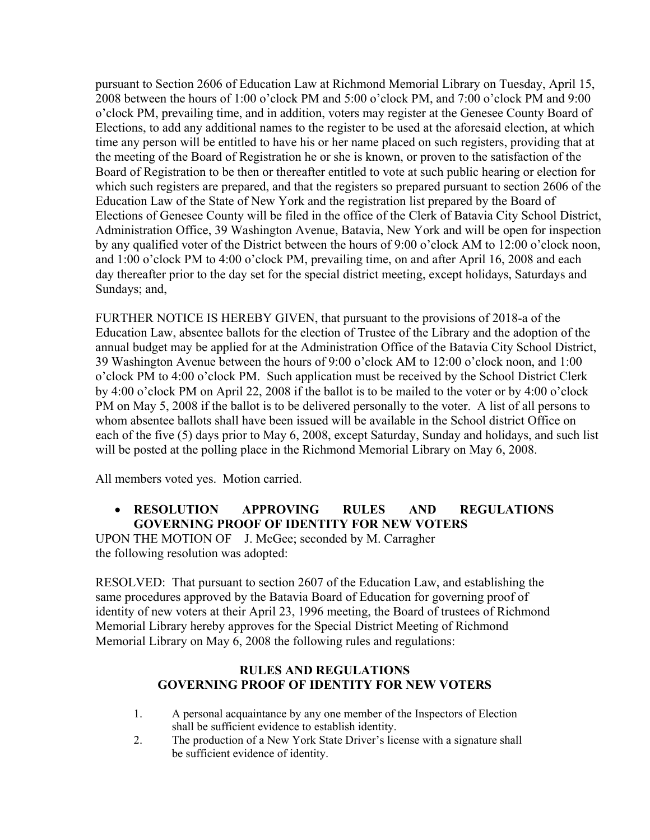pursuant to Section 2606 of Education Law at Richmond Memorial Library on Tuesday, April 15, 2008 between the hours of 1:00 o'clock PM and 5:00 o'clock PM, and 7:00 o'clock PM and 9:00 o'clock PM, prevailing time, and in addition, voters may register at the Genesee County Board of Elections, to add any additional names to the register to be used at the aforesaid election, at which time any person will be entitled to have his or her name placed on such registers, providing that at the meeting of the Board of Registration he or she is known, or proven to the satisfaction of the Board of Registration to be then or thereafter entitled to vote at such public hearing or election for which such registers are prepared, and that the registers so prepared pursuant to section 2606 of the Education Law of the State of New York and the registration list prepared by the Board of Elections of Genesee County will be filed in the office of the Clerk of Batavia City School District, Administration Office, 39 Washington Avenue, Batavia, New York and will be open for inspection by any qualified voter of the District between the hours of 9:00 o'clock AM to 12:00 o'clock noon, and 1:00 o'clock PM to 4:00 o'clock PM, prevailing time, on and after April 16, 2008 and each day thereafter prior to the day set for the special district meeting, except holidays, Saturdays and Sundays; and,

FURTHER NOTICE IS HEREBY GIVEN, that pursuant to the provisions of 2018-a of the Education Law, absentee ballots for the election of Trustee of the Library and the adoption of the annual budget may be applied for at the Administration Office of the Batavia City School District, 39 Washington Avenue between the hours of 9:00 o'clock AM to 12:00 o'clock noon, and 1:00 o'clock PM to 4:00 o'clock PM. Such application must be received by the School District Clerk by 4:00 o'clock PM on April 22, 2008 if the ballot is to be mailed to the voter or by 4:00 o'clock PM on May 5, 2008 if the ballot is to be delivered personally to the voter. A list of all persons to whom absentee ballots shall have been issued will be available in the School district Office on each of the five (5) days prior to May 6, 2008, except Saturday, Sunday and holidays, and such list will be posted at the polling place in the Richmond Memorial Library on May 6, 2008.

All members voted yes. Motion carried.

# **RESOLUTION APPROVING RULES AND REGULATIONS GOVERNING PROOF OF IDENTITY FOR NEW VOTERS**

UPON THE MOTION OF J. McGee; seconded by M. Carragher the following resolution was adopted:

RESOLVED: That pursuant to section 2607 of the Education Law, and establishing the same procedures approved by the Batavia Board of Education for governing proof of identity of new voters at their April 23, 1996 meeting, the Board of trustees of Richmond Memorial Library hereby approves for the Special District Meeting of Richmond Memorial Library on May 6, 2008 the following rules and regulations:

# **RULES AND REGULATIONS GOVERNING PROOF OF IDENTITY FOR NEW VOTERS**

- 1. A personal acquaintance by any one member of the Inspectors of Election shall be sufficient evidence to establish identity.
- 2. The production of a New York State Driver's license with a signature shall be sufficient evidence of identity.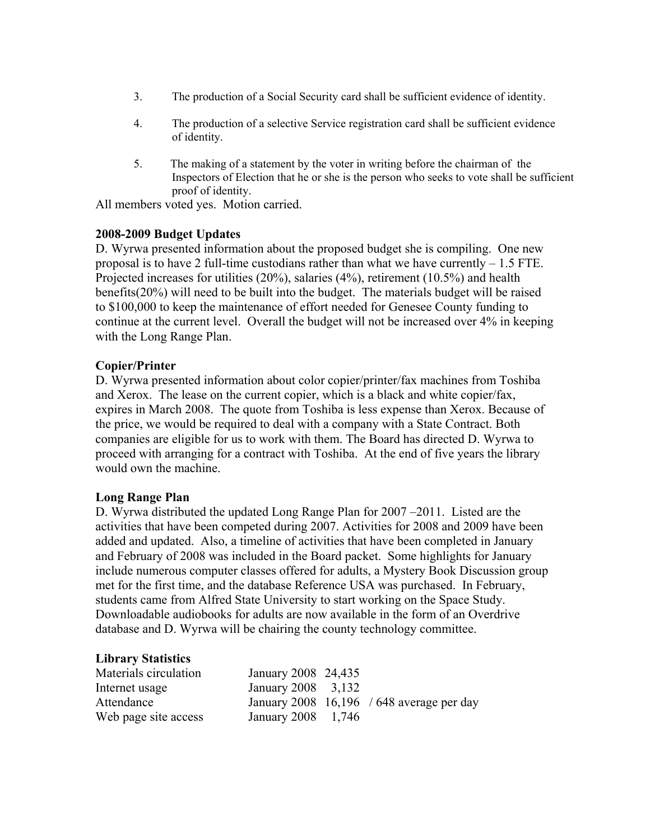- 3. The production of a Social Security card shall be sufficient evidence of identity.
- 4. The production of a selective Service registration card shall be sufficient evidence of identity.
- 5. The making of a statement by the voter in writing before the chairman of the Inspectors of Election that he or she is the person who seeks to vote shall be sufficient proof of identity.

All members voted yes. Motion carried.

# **2008-2009 Budget Updates**

D. Wyrwa presented information about the proposed budget she is compiling. One new proposal is to have 2 full-time custodians rather than what we have currently  $-1.5$  FTE. Projected increases for utilities (20%), salaries (4%), retirement (10.5%) and health benefits(20%) will need to be built into the budget. The materials budget will be raised to \$100,000 to keep the maintenance of effort needed for Genesee County funding to continue at the current level. Overall the budget will not be increased over 4% in keeping with the Long Range Plan.

# **Copier/Printer**

D. Wyrwa presented information about color copier/printer/fax machines from Toshiba and Xerox. The lease on the current copier, which is a black and white copier/fax, expires in March 2008. The quote from Toshiba is less expense than Xerox. Because of the price, we would be required to deal with a company with a State Contract. Both companies are eligible for us to work with them. The Board has directed D. Wyrwa to proceed with arranging for a contract with Toshiba. At the end of five years the library would own the machine.

#### **Long Range Plan**

D. Wyrwa distributed the updated Long Range Plan for 2007 –2011. Listed are the activities that have been competed during 2007. Activities for 2008 and 2009 have been added and updated. Also, a timeline of activities that have been completed in January and February of 2008 was included in the Board packet. Some highlights for January include numerous computer classes offered for adults, a Mystery Book Discussion group met for the first time, and the database Reference USA was purchased. In February, students came from Alfred State University to start working on the Space Study. Downloadable audiobooks for adults are now available in the form of an Overdrive database and D. Wyrwa will be chairing the county technology committee.

#### **Library Statistics**

| Materials circulation | January 2008 24,435 |                                             |
|-----------------------|---------------------|---------------------------------------------|
| Internet usage        | January 2008 3,132  |                                             |
| Attendance            |                     | January 2008 $16,196$ / 648 average per day |
| Web page site access  | January 2008 1,746  |                                             |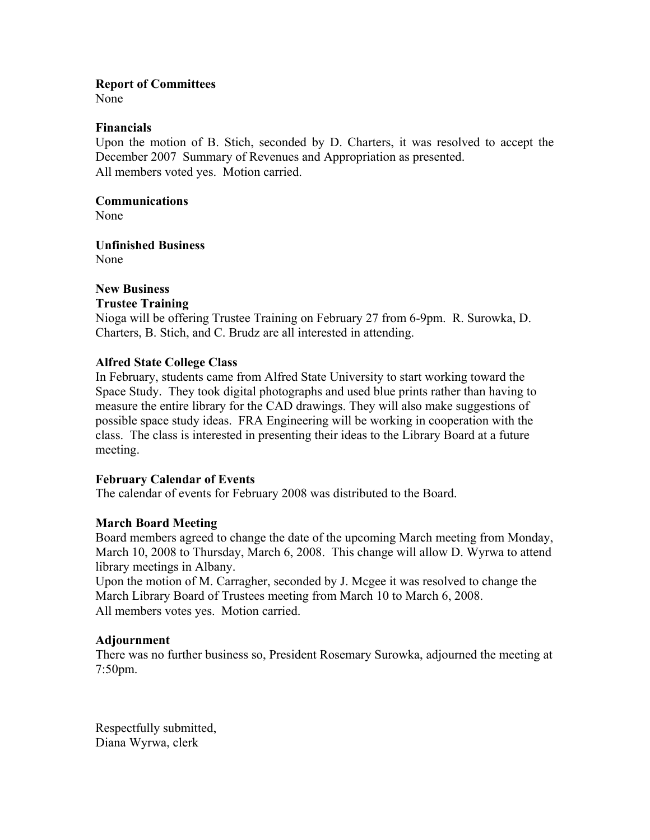#### **Report of Committees**

None

#### **Financials**

Upon the motion of B. Stich, seconded by D. Charters, it was resolved to accept the December 2007 Summary of Revenues and Appropriation as presented. All members voted yes. Motion carried.

# **Communications**

None

**Unfinished Business**  None

# **New Business**

#### **Trustee Training**

Nioga will be offering Trustee Training on February 27 from 6-9pm. R. Surowka, D. Charters, B. Stich, and C. Brudz are all interested in attending.

#### **Alfred State College Class**

In February, students came from Alfred State University to start working toward the Space Study. They took digital photographs and used blue prints rather than having to measure the entire library for the CAD drawings. They will also make suggestions of possible space study ideas. FRA Engineering will be working in cooperation with the class. The class is interested in presenting their ideas to the Library Board at a future meeting.

#### **February Calendar of Events**

The calendar of events for February 2008 was distributed to the Board.

#### **March Board Meeting**

Board members agreed to change the date of the upcoming March meeting from Monday, March 10, 2008 to Thursday, March 6, 2008. This change will allow D. Wyrwa to attend library meetings in Albany.

Upon the motion of M. Carragher, seconded by J. Mcgee it was resolved to change the March Library Board of Trustees meeting from March 10 to March 6, 2008. All members votes yes. Motion carried.

#### **Adjournment**

There was no further business so, President Rosemary Surowka, adjourned the meeting at 7:50pm.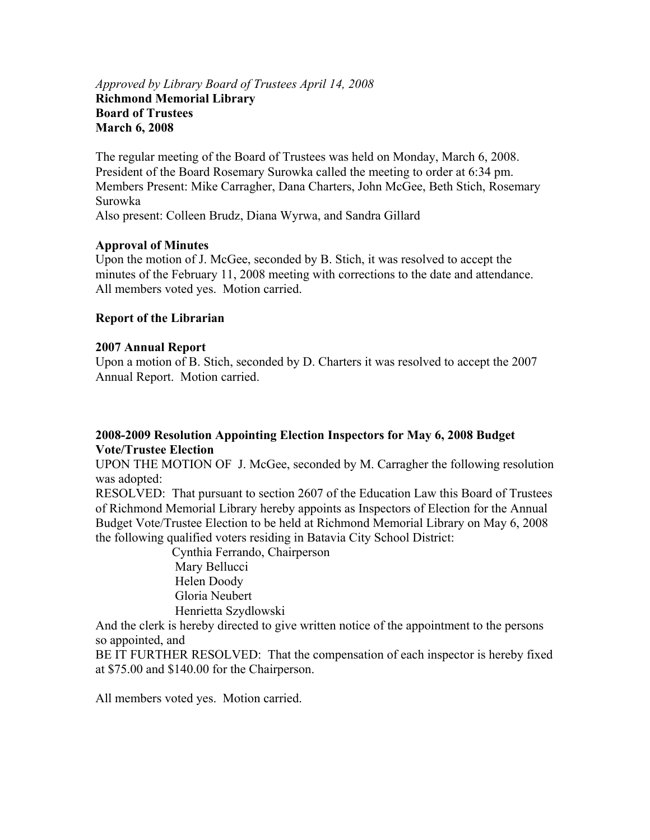### *Approved by Library Board of Trustees April 14, 2008*  **Richmond Memorial Library Board of Trustees March 6, 2008**

The regular meeting of the Board of Trustees was held on Monday, March 6, 2008. President of the Board Rosemary Surowka called the meeting to order at 6:34 pm. Members Present: Mike Carragher, Dana Charters, John McGee, Beth Stich, Rosemary Surowka Also present: Colleen Brudz, Diana Wyrwa, and Sandra Gillard

# **Approval of Minutes**

Upon the motion of J. McGee, seconded by B. Stich, it was resolved to accept the minutes of the February 11, 2008 meeting with corrections to the date and attendance. All members voted yes. Motion carried.

# **Report of the Librarian**

# **2007 Annual Report**

Upon a motion of B. Stich, seconded by D. Charters it was resolved to accept the 2007 Annual Report. Motion carried.

# **2008-2009 Resolution Appointing Election Inspectors for May 6, 2008 Budget Vote/Trustee Election**

UPON THE MOTION OF J. McGee, seconded by M. Carragher the following resolution was adopted:

RESOLVED: That pursuant to section 2607 of the Education Law this Board of Trustees of Richmond Memorial Library hereby appoints as Inspectors of Election for the Annual Budget Vote/Trustee Election to be held at Richmond Memorial Library on May 6, 2008 the following qualified voters residing in Batavia City School District:

> Cynthia Ferrando, Chairperson Mary Bellucci Helen Doody Gloria Neubert Henrietta Szydlowski

And the clerk is hereby directed to give written notice of the appointment to the persons so appointed, and

BE IT FURTHER RESOLVED: That the compensation of each inspector is hereby fixed at \$75.00 and \$140.00 for the Chairperson.

All members voted yes. Motion carried.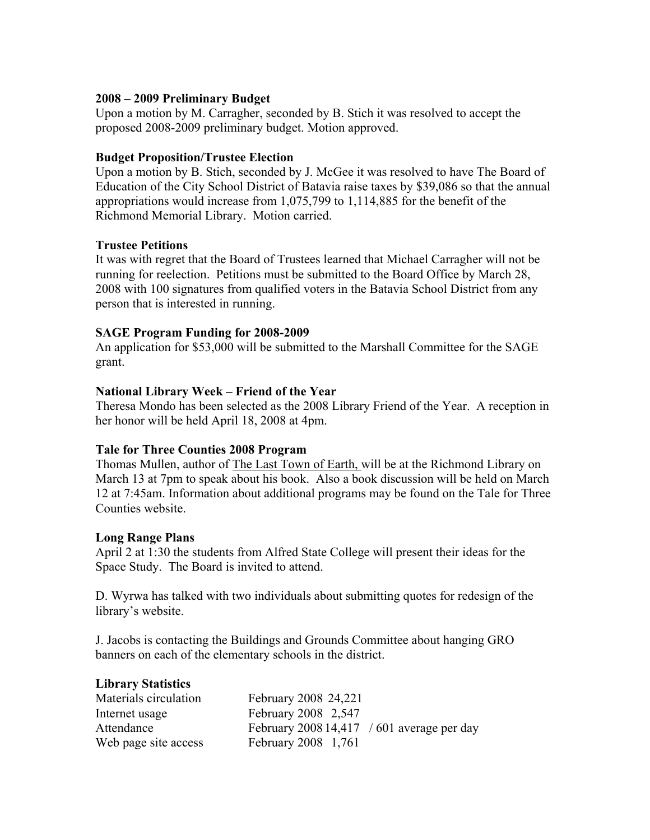### **2008 – 2009 Preliminary Budget**

Upon a motion by M. Carragher, seconded by B. Stich it was resolved to accept the proposed 2008-2009 preliminary budget. Motion approved.

### **Budget Proposition/Trustee Election**

Upon a motion by B. Stich, seconded by J. McGee it was resolved to have The Board of Education of the City School District of Batavia raise taxes by \$39,086 so that the annual appropriations would increase from 1,075,799 to 1,114,885 for the benefit of the Richmond Memorial Library. Motion carried.

# **Trustee Petitions**

It was with regret that the Board of Trustees learned that Michael Carragher will not be running for reelection. Petitions must be submitted to the Board Office by March 28, 2008 with 100 signatures from qualified voters in the Batavia School District from any person that is interested in running.

# **SAGE Program Funding for 2008-2009**

An application for \$53,000 will be submitted to the Marshall Committee for the SAGE grant.

# **National Library Week – Friend of the Year**

Theresa Mondo has been selected as the 2008 Library Friend of the Year. A reception in her honor will be held April 18, 2008 at 4pm.

# **Tale for Three Counties 2008 Program**

Thomas Mullen, author of The Last Town of Earth, will be at the Richmond Library on March 13 at 7pm to speak about his book. Also a book discussion will be held on March 12 at 7:45am. Information about additional programs may be found on the Tale for Three Counties website.

# **Long Range Plans**

April 2 at 1:30 the students from Alfred State College will present their ideas for the Space Study. The Board is invited to attend.

D. Wyrwa has talked with two individuals about submitting quotes for redesign of the library's website.

J. Jacobs is contacting the Buildings and Grounds Committee about hanging GRO banners on each of the elementary schools in the district.

#### **Library Statistics**

| Materials circulation | February 2008 24,221                       |
|-----------------------|--------------------------------------------|
| Internet usage        | February 2008 2,547                        |
| Attendance            | February 2008 14,417 / 601 average per day |
| Web page site access  | February 2008 1,761                        |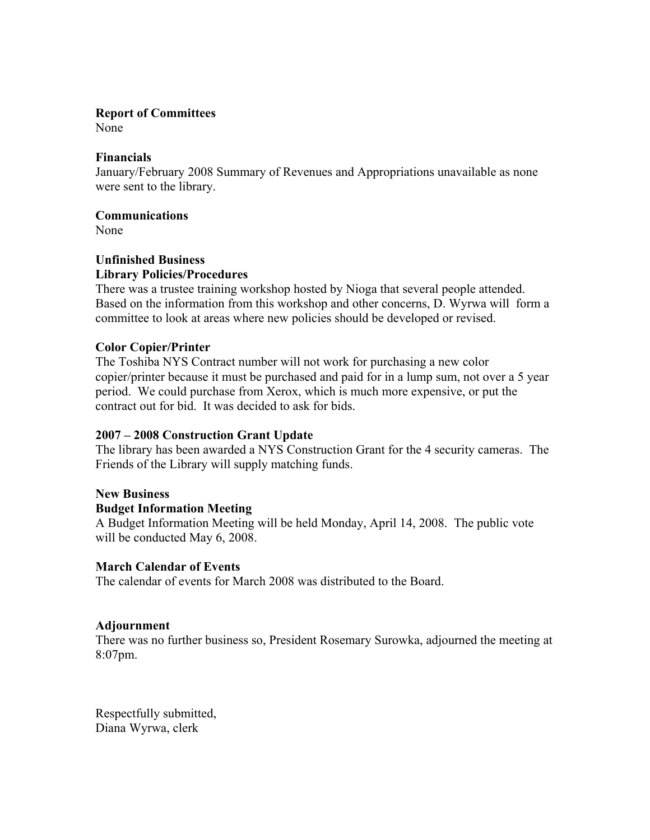# **Report of Committees**

None

# **Financials**

January/February 2008 Summary of Revenues and Appropriations unavailable as none were sent to the library.

# **Communications**

None

# **Unfinished Business Library Policies/Procedures**

There was a trustee training workshop hosted by Nioga that several people attended. Based on the information from this workshop and other concerns, D. Wyrwa will form a committee to look at areas where new policies should be developed or revised.

# **Color Copier/Printer**

The Toshiba NYS Contract number will not work for purchasing a new color copier/printer because it must be purchased and paid for in a lump sum, not over a 5 year period. We could purchase from Xerox, which is much more expensive, or put the contract out for bid. It was decided to ask for bids.

# **2007 – 2008 Construction Grant Update**

The library has been awarded a NYS Construction Grant for the 4 security cameras. The Friends of the Library will supply matching funds.

# **New Business**

# **Budget Information Meeting**

A Budget Information Meeting will be held Monday, April 14, 2008. The public vote will be conducted May 6, 2008.

# **March Calendar of Events**

The calendar of events for March 2008 was distributed to the Board.

# **Adjournment**

There was no further business so, President Rosemary Surowka, adjourned the meeting at 8:07pm.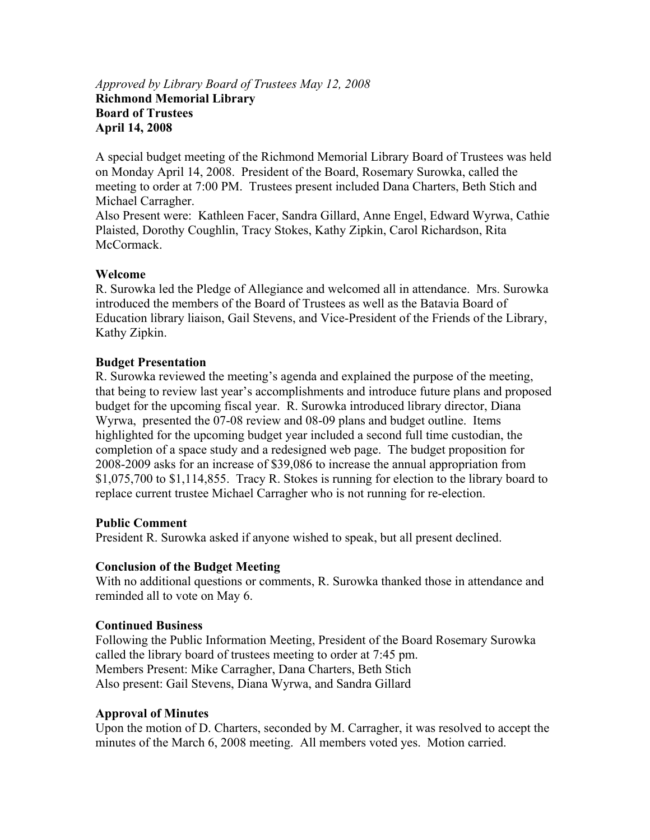# *Approved by Library Board of Trustees May 12, 2008*  **Richmond Memorial Library Board of Trustees April 14, 2008**

A special budget meeting of the Richmond Memorial Library Board of Trustees was held on Monday April 14, 2008. President of the Board, Rosemary Surowka, called the meeting to order at 7:00 PM. Trustees present included Dana Charters, Beth Stich and Michael Carragher.

Also Present were: Kathleen Facer, Sandra Gillard, Anne Engel, Edward Wyrwa, Cathie Plaisted, Dorothy Coughlin, Tracy Stokes, Kathy Zipkin, Carol Richardson, Rita McCormack.

# **Welcome**

R. Surowka led the Pledge of Allegiance and welcomed all in attendance. Mrs. Surowka introduced the members of the Board of Trustees as well as the Batavia Board of Education library liaison, Gail Stevens, and Vice-President of the Friends of the Library, Kathy Zipkin.

# **Budget Presentation**

R. Surowka reviewed the meeting's agenda and explained the purpose of the meeting, that being to review last year's accomplishments and introduce future plans and proposed budget for the upcoming fiscal year. R. Surowka introduced library director, Diana Wyrwa, presented the 07-08 review and 08-09 plans and budget outline. Items highlighted for the upcoming budget year included a second full time custodian, the completion of a space study and a redesigned web page. The budget proposition for 2008-2009 asks for an increase of \$39,086 to increase the annual appropriation from \$1,075,700 to \$1,114,855. Tracy R. Stokes is running for election to the library board to replace current trustee Michael Carragher who is not running for re-election.

#### **Public Comment**

President R. Surowka asked if anyone wished to speak, but all present declined.

#### **Conclusion of the Budget Meeting**

With no additional questions or comments, R. Surowka thanked those in attendance and reminded all to vote on May 6.

#### **Continued Business**

Following the Public Information Meeting, President of the Board Rosemary Surowka called the library board of trustees meeting to order at 7:45 pm. Members Present: Mike Carragher, Dana Charters, Beth Stich Also present: Gail Stevens, Diana Wyrwa, and Sandra Gillard

# **Approval of Minutes**

Upon the motion of D. Charters, seconded by M. Carragher, it was resolved to accept the minutes of the March 6, 2008 meeting. All members voted yes. Motion carried.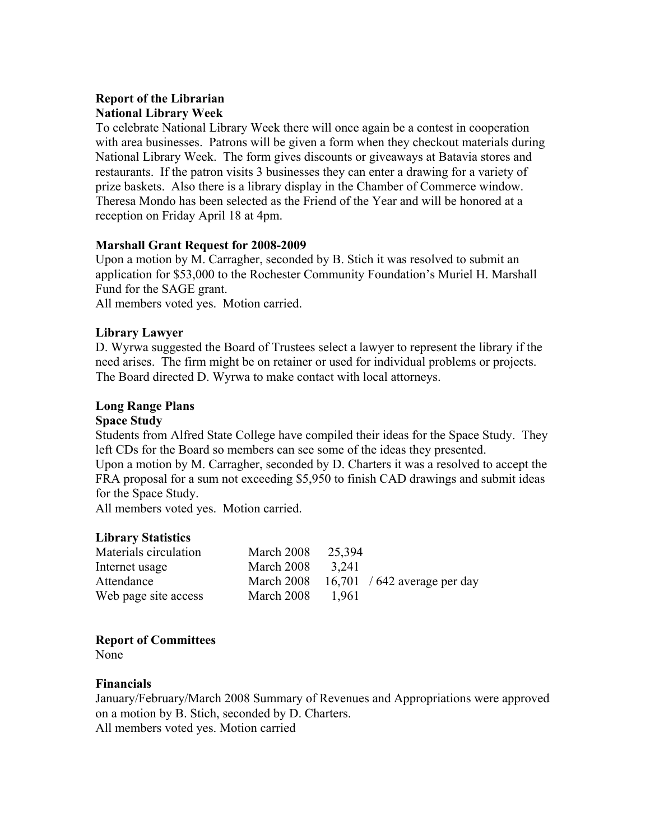# **Report of the Librarian National Library Week**

To celebrate National Library Week there will once again be a contest in cooperation with area businesses. Patrons will be given a form when they checkout materials during National Library Week. The form gives discounts or giveaways at Batavia stores and restaurants. If the patron visits 3 businesses they can enter a drawing for a variety of prize baskets. Also there is a library display in the Chamber of Commerce window. Theresa Mondo has been selected as the Friend of the Year and will be honored at a reception on Friday April 18 at 4pm.

# **Marshall Grant Request for 2008-2009**

Upon a motion by M. Carragher, seconded by B. Stich it was resolved to submit an application for \$53,000 to the Rochester Community Foundation's Muriel H. Marshall Fund for the SAGE grant.

All members voted yes. Motion carried.

# **Library Lawyer**

D. Wyrwa suggested the Board of Trustees select a lawyer to represent the library if the need arises. The firm might be on retainer or used for individual problems or projects. The Board directed D. Wyrwa to make contact with local attorneys.

# **Long Range Plans**

# **Space Study**

Students from Alfred State College have compiled their ideas for the Space Study. They left CDs for the Board so members can see some of the ideas they presented.

Upon a motion by M. Carragher, seconded by D. Charters it was a resolved to accept the FRA proposal for a sum not exceeding \$5,950 to finish CAD drawings and submit ideas for the Space Study.

All members voted yes. Motion carried.

# **Library Statistics**

| Materials circulation | March 2008 | 25,394 |                              |
|-----------------------|------------|--------|------------------------------|
| Internet usage        | March 2008 | 3.241  |                              |
| Attendance            | March 2008 |        | 16,701 / 642 average per day |
| Web page site access  | March 2008 | 1.961  |                              |

# **Report of Committees**

None

# **Financials**

January/February/March 2008 Summary of Revenues and Appropriations were approved on a motion by B. Stich, seconded by D. Charters. All members voted yes. Motion carried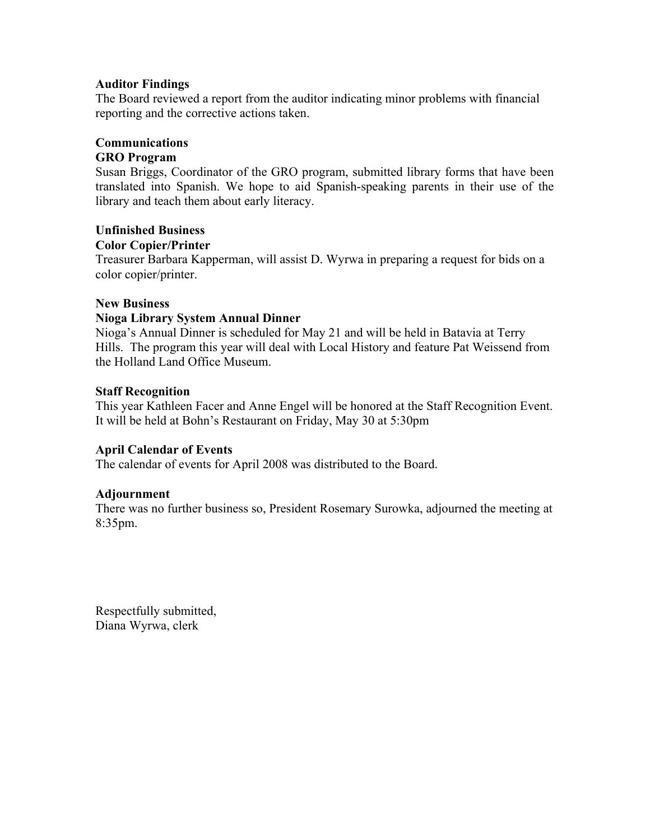#### **Auditor Findings**

The Board reviewed a report from the auditor indicating minor problems with financial reporting and the corrective actions taken.

# **Communications**

# **GRO Program**

Susan Briggs, Coordinator of the GRO program, submitted library forms that have been translated into Spanish. We hope to aid Spanish-speaking parents in their use of the library and teach them about early literacy.

# **Unfinished Business Color Copier/Printer**

Treasurer Barbara Kapperman, will assist D. Wyrwa in preparing a request for bids on a color copier/printer.

# **New Business**

# **Nioga Library System Annual Dinner**

Nioga's Annual Dinner is scheduled for May 21 and will be held in Batavia at Terry Hills. The program this year will deal with Local History and feature Pat Weissend from the Holland Land Office Museum.

# **Staff Recognition**

This year Kathleen Facer and Anne Engel will be honored at the Staff Recognition Event. It will be held at Bohn's Restaurant on Friday, May 30 at 5:30pm

# **April Calendar of Events**

The calendar of events for April 2008 was distributed to the Board.

# **Adjournment**

There was no further business so, President Rosemary Surowka, adjourned the meeting at 8:35pm.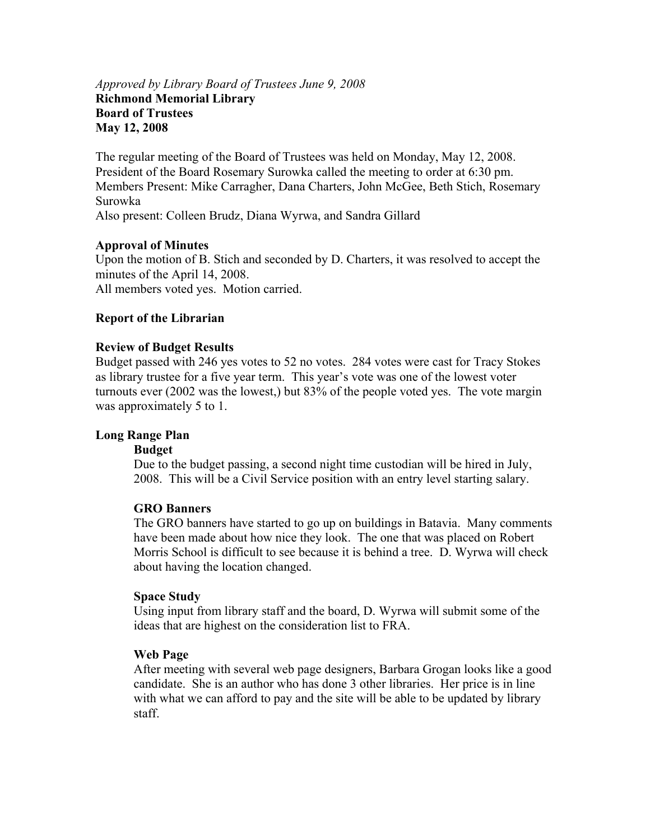#### *Approved by Library Board of Trustees June 9, 2008*  **Richmond Memorial Library Board of Trustees May 12, 2008**

The regular meeting of the Board of Trustees was held on Monday, May 12, 2008. President of the Board Rosemary Surowka called the meeting to order at 6:30 pm. Members Present: Mike Carragher, Dana Charters, John McGee, Beth Stich, Rosemary Surowka Also present: Colleen Brudz, Diana Wyrwa, and Sandra Gillard

#### **Approval of Minutes**

Upon the motion of B. Stich and seconded by D. Charters, it was resolved to accept the minutes of the April 14, 2008. All members voted yes. Motion carried.

#### **Report of the Librarian**

#### **Review of Budget Results**

Budget passed with 246 yes votes to 52 no votes. 284 votes were cast for Tracy Stokes as library trustee for a five year term. This year's vote was one of the lowest voter turnouts ever (2002 was the lowest,) but 83% of the people voted yes. The vote margin was approximately 5 to 1.

#### **Long Range Plan**

#### **Budget**

Due to the budget passing, a second night time custodian will be hired in July, 2008. This will be a Civil Service position with an entry level starting salary.

#### **GRO Banners**

The GRO banners have started to go up on buildings in Batavia. Many comments have been made about how nice they look. The one that was placed on Robert Morris School is difficult to see because it is behind a tree. D. Wyrwa will check about having the location changed.

#### **Space Study**

Using input from library staff and the board, D. Wyrwa will submit some of the ideas that are highest on the consideration list to FRA.

#### **Web Page**

After meeting with several web page designers, Barbara Grogan looks like a good candidate. She is an author who has done 3 other libraries. Her price is in line with what we can afford to pay and the site will be able to be updated by library staff.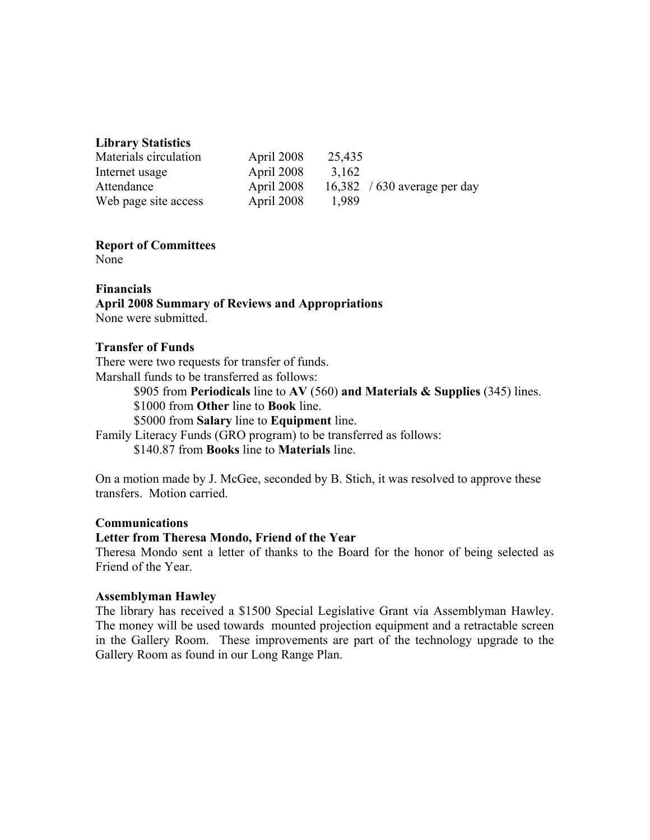# **Library Statistics**

| Materials circulation | April 2008 | 25,435 |                              |
|-----------------------|------------|--------|------------------------------|
| Internet usage        | April 2008 | 3,162  |                              |
| Attendance            | April 2008 |        | 16,382 / 630 average per day |
| Web page site access  | April 2008 | 1.989  |                              |

# **Report of Committees**

None

#### **Financials April 2008 Summary of Reviews and Appropriations**  None were submitted.

#### **Transfer of Funds**

There were two requests for transfer of funds. Marshall funds to be transferred as follows:

\$905 from **Periodicals** line to **AV** (560) **and Materials & Supplies** (345) lines.

\$1000 from **Other** line to **Book** line.

\$5000 from **Salary** line to **Equipment** line.

Family Literacy Funds (GRO program) to be transferred as follows: \$140.87 from **Books** line to **Materials** line.

On a motion made by J. McGee, seconded by B. Stich, it was resolved to approve these transfers. Motion carried.

#### **Communications**

#### **Letter from Theresa Mondo, Friend of the Year**

Theresa Mondo sent a letter of thanks to the Board for the honor of being selected as Friend of the Year.

#### **Assemblyman Hawley**

The library has received a \$1500 Special Legislative Grant via Assemblyman Hawley. The money will be used towards mounted projection equipment and a retractable screen in the Gallery Room. These improvements are part of the technology upgrade to the Gallery Room as found in our Long Range Plan.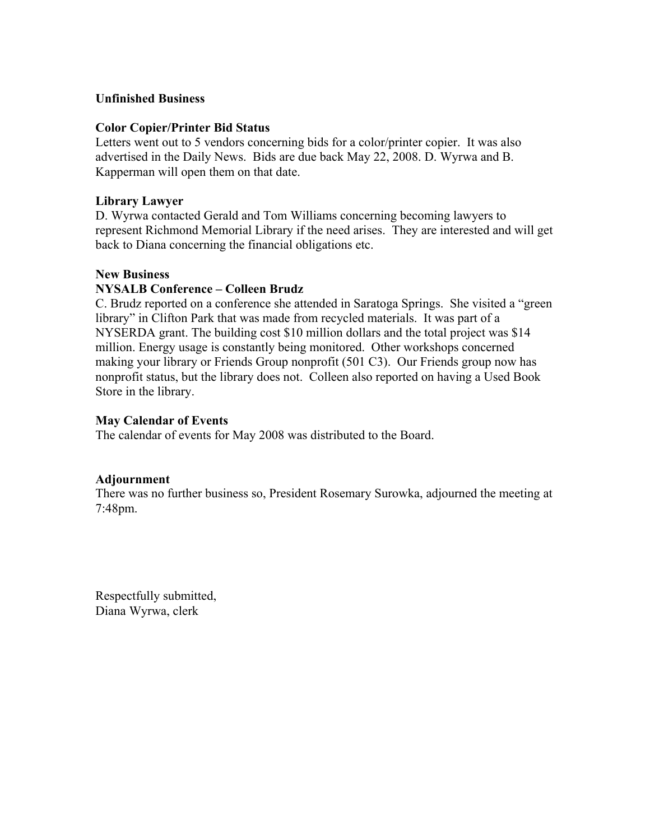### **Unfinished Business**

#### **Color Copier/Printer Bid Status**

Letters went out to 5 vendors concerning bids for a color/printer copier. It was also advertised in the Daily News. Bids are due back May 22, 2008. D. Wyrwa and B. Kapperman will open them on that date.

#### **Library Lawyer**

D. Wyrwa contacted Gerald and Tom Williams concerning becoming lawyers to represent Richmond Memorial Library if the need arises. They are interested and will get back to Diana concerning the financial obligations etc.

#### **New Business**

#### **NYSALB Conference – Colleen Brudz**

C. Brudz reported on a conference she attended in Saratoga Springs. She visited a "green library" in Clifton Park that was made from recycled materials. It was part of a NYSERDA grant. The building cost \$10 million dollars and the total project was \$14 million. Energy usage is constantly being monitored. Other workshops concerned making your library or Friends Group nonprofit (501 C3). Our Friends group now has nonprofit status, but the library does not. Colleen also reported on having a Used Book Store in the library.

#### **May Calendar of Events**

The calendar of events for May 2008 was distributed to the Board.

#### **Adjournment**

There was no further business so, President Rosemary Surowka, adjourned the meeting at 7:48pm.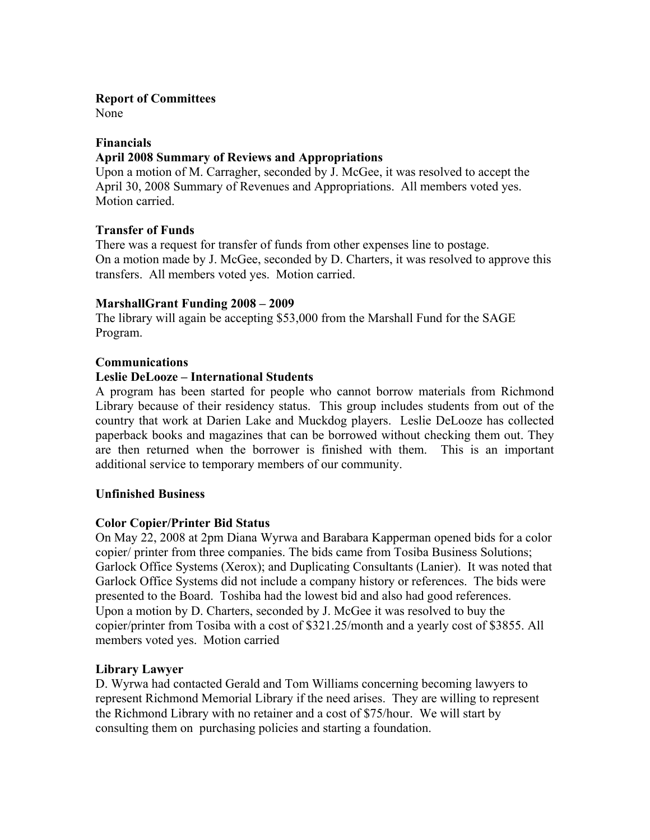# **Report of Committees**

None

# **Financials**

# **April 2008 Summary of Reviews and Appropriations**

Upon a motion of M. Carragher, seconded by J. McGee, it was resolved to accept the April 30, 2008 Summary of Revenues and Appropriations. All members voted yes. Motion carried.

# **Transfer of Funds**

There was a request for transfer of funds from other expenses line to postage. On a motion made by J. McGee, seconded by D. Charters, it was resolved to approve this transfers. All members voted yes. Motion carried.

#### **MarshallGrant Funding 2008 – 2009**

The library will again be accepting \$53,000 from the Marshall Fund for the SAGE Program.

# **Communications**

# **Leslie DeLooze – International Students**

A program has been started for people who cannot borrow materials from Richmond Library because of their residency status. This group includes students from out of the country that work at Darien Lake and Muckdog players. Leslie DeLooze has collected paperback books and magazines that can be borrowed without checking them out. They are then returned when the borrower is finished with them. This is an important additional service to temporary members of our community.

#### **Unfinished Business**

# **Color Copier/Printer Bid Status**

On May 22, 2008 at 2pm Diana Wyrwa and Barabara Kapperman opened bids for a color copier/ printer from three companies. The bids came from Tosiba Business Solutions; Garlock Office Systems (Xerox); and Duplicating Consultants (Lanier). It was noted that Garlock Office Systems did not include a company history or references. The bids were presented to the Board. Toshiba had the lowest bid and also had good references. Upon a motion by D. Charters, seconded by J. McGee it was resolved to buy the copier/printer from Tosiba with a cost of \$321.25/month and a yearly cost of \$3855. All members voted yes. Motion carried

#### **Library Lawyer**

D. Wyrwa had contacted Gerald and Tom Williams concerning becoming lawyers to represent Richmond Memorial Library if the need arises. They are willing to represent the Richmond Library with no retainer and a cost of \$75/hour. We will start by consulting them on purchasing policies and starting a foundation.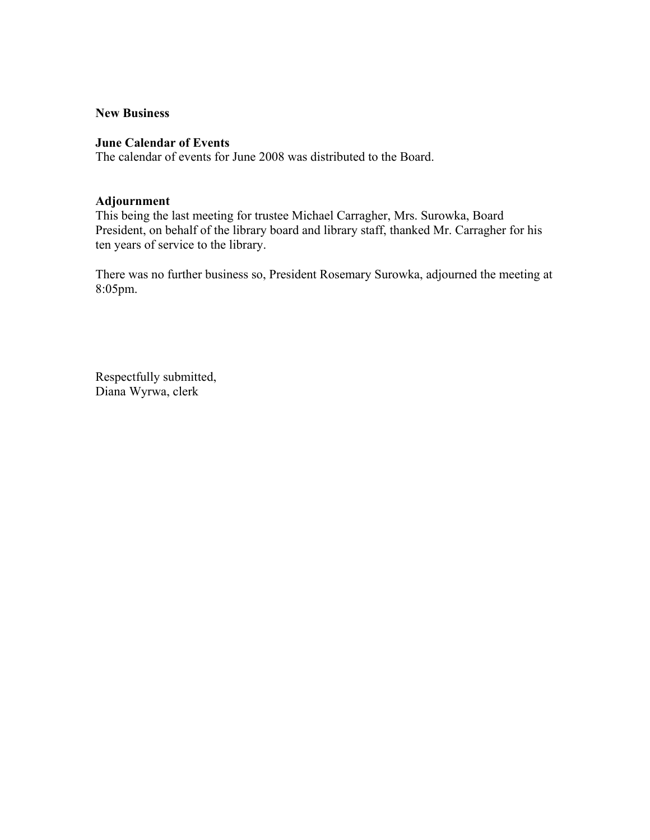#### **New Business**

# **June Calendar of Events**

The calendar of events for June 2008 was distributed to the Board.

#### **Adjournment**

This being the last meeting for trustee Michael Carragher, Mrs. Surowka, Board President, on behalf of the library board and library staff, thanked Mr. Carragher for his ten years of service to the library.

There was no further business so, President Rosemary Surowka, adjourned the meeting at 8:05pm.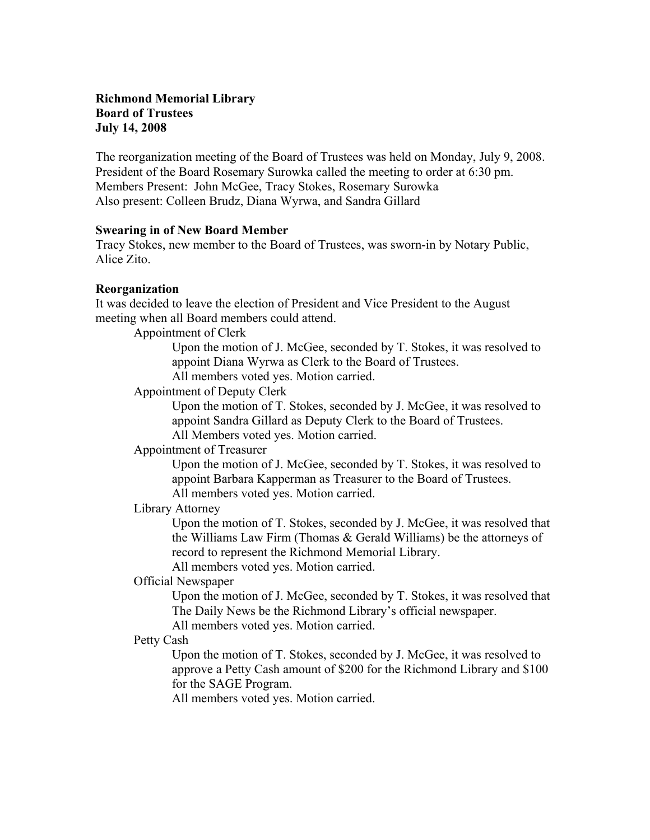# **Richmond Memorial Library Board of Trustees July 14, 2008**

The reorganization meeting of the Board of Trustees was held on Monday, July 9, 2008. President of the Board Rosemary Surowka called the meeting to order at 6:30 pm. Members Present: John McGee, Tracy Stokes, Rosemary Surowka Also present: Colleen Brudz, Diana Wyrwa, and Sandra Gillard

#### **Swearing in of New Board Member**

Tracy Stokes, new member to the Board of Trustees, was sworn-in by Notary Public, Alice Zito.

# **Reorganization**

It was decided to leave the election of President and Vice President to the August meeting when all Board members could attend.

Appointment of Clerk

Upon the motion of J. McGee, seconded by T. Stokes, it was resolved to appoint Diana Wyrwa as Clerk to the Board of Trustees. All members voted yes. Motion carried.

Appointment of Deputy Clerk

Upon the motion of T. Stokes, seconded by J. McGee, it was resolved to appoint Sandra Gillard as Deputy Clerk to the Board of Trustees.

All Members voted yes. Motion carried.

Appointment of Treasurer

Upon the motion of J. McGee, seconded by T. Stokes, it was resolved to appoint Barbara Kapperman as Treasurer to the Board of Trustees. All members voted yes. Motion carried.

Library Attorney

Upon the motion of T. Stokes, seconded by J. McGee, it was resolved that the Williams Law Firm (Thomas & Gerald Williams) be the attorneys of record to represent the Richmond Memorial Library.

All members voted yes. Motion carried.

# Official Newspaper

Upon the motion of J. McGee, seconded by T. Stokes, it was resolved that The Daily News be the Richmond Library's official newspaper. All members voted yes. Motion carried.

#### Petty Cash

Upon the motion of T. Stokes, seconded by J. McGee, it was resolved to approve a Petty Cash amount of \$200 for the Richmond Library and \$100 for the SAGE Program.

All members voted yes. Motion carried.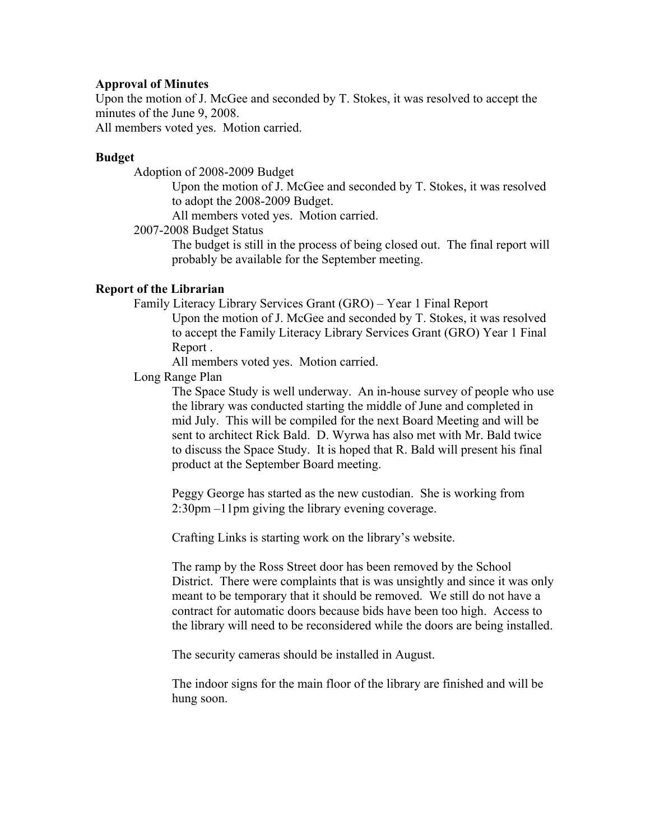#### **Approval of Minutes**

Upon the motion of J. McGee and seconded by T. Stokes, it was resolved to accept the minutes of the June 9, 2008.

All members voted yes. Motion carried.

### **Budget**

Adoption of 2008-2009 Budget

Upon the motion of J. McGee and seconded by T. Stokes, it was resolved to adopt the 2008-2009 Budget.

All members voted yes. Motion carried.

#### 2007-2008 Budget Status

The budget is still in the process of being closed out. The final report will probably be available for the September meeting.

#### **Report of the Librarian**

Family Literacy Library Services Grant (GRO) – Year 1 Final Report

Upon the motion of J. McGee and seconded by T. Stokes, it was resolved to accept the Family Literacy Library Services Grant (GRO) Year 1 Final Report .

All members voted yes. Motion carried.

Long Range Plan

The Space Study is well underway. An in-house survey of people who use the library was conducted starting the middle of June and completed in mid July. This will be compiled for the next Board Meeting and will be sent to architect Rick Bald. D. Wyrwa has also met with Mr. Bald twice to discuss the Space Study. It is hoped that R. Bald will present his final product at the September Board meeting.

Peggy George has started as the new custodian. She is working from 2:30pm –11pm giving the library evening coverage.

Crafting Links is starting work on the library's website.

The ramp by the Ross Street door has been removed by the School District. There were complaints that is was unsightly and since it was only meant to be temporary that it should be removed. We still do not have a contract for automatic doors because bids have been too high. Access to the library will need to be reconsidered while the doors are being installed.

The security cameras should be installed in August.

The indoor signs for the main floor of the library are finished and will be hung soon.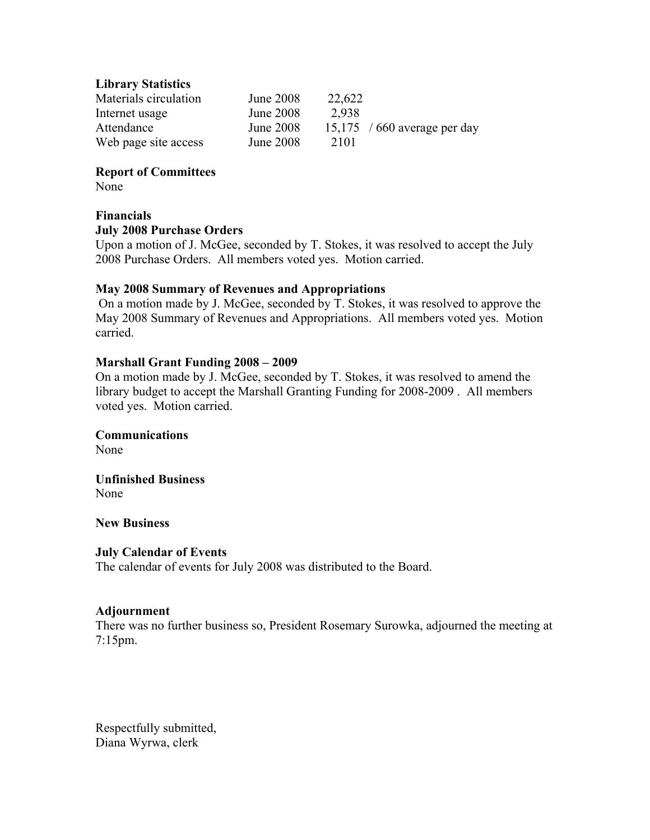#### **Library Statistics**

| Materials circulation | June 2008        | 22,622 |                              |
|-----------------------|------------------|--------|------------------------------|
| Internet usage        | June 2008        | 2.938  |                              |
| Attendance            | <b>June 2008</b> |        | 15,175 / 660 average per day |
| Web page site access  | June 2008        | 2101   |                              |

### **Report of Committees**

None

#### **Financials**

#### **July 2008 Purchase Orders**

Upon a motion of J. McGee, seconded by T. Stokes, it was resolved to accept the July 2008 Purchase Orders. All members voted yes. Motion carried.

#### **May 2008 Summary of Revenues and Appropriations**

 On a motion made by J. McGee, seconded by T. Stokes, it was resolved to approve the May 2008 Summary of Revenues and Appropriations. All members voted yes. Motion carried.

# **Marshall Grant Funding 2008 – 2009**

On a motion made by J. McGee, seconded by T. Stokes, it was resolved to amend the library budget to accept the Marshall Granting Funding for 2008-2009 . All members voted yes. Motion carried.

# **Communications**

None

# **Unfinished Business**

None

#### **New Business**

#### **July Calendar of Events**

The calendar of events for July 2008 was distributed to the Board.

#### **Adjournment**

There was no further business so, President Rosemary Surowka, adjourned the meeting at 7:15pm.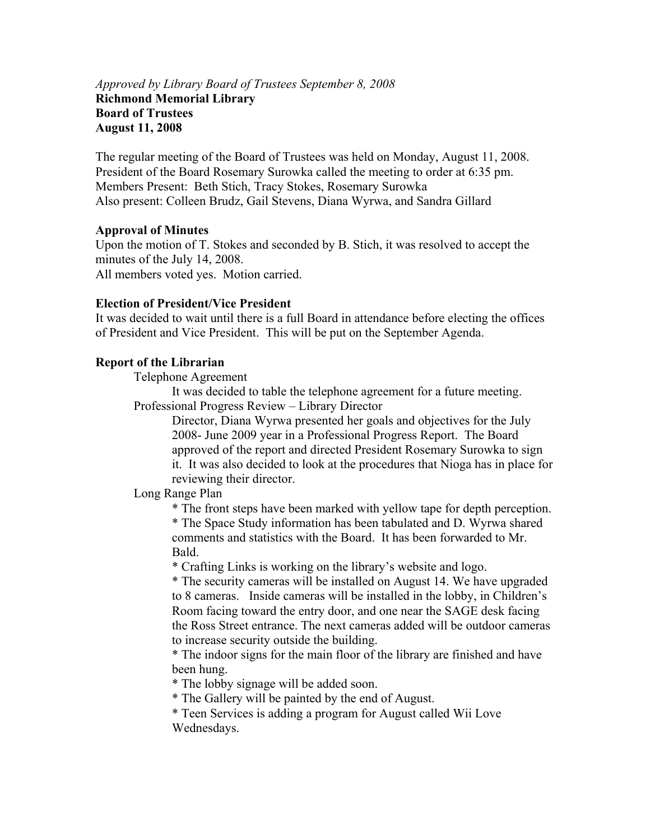#### *Approved by Library Board of Trustees September 8, 2008*  **Richmond Memorial Library Board of Trustees August 11, 2008**

The regular meeting of the Board of Trustees was held on Monday, August 11, 2008. President of the Board Rosemary Surowka called the meeting to order at 6:35 pm. Members Present: Beth Stich, Tracy Stokes, Rosemary Surowka Also present: Colleen Brudz, Gail Stevens, Diana Wyrwa, and Sandra Gillard

#### **Approval of Minutes**

Upon the motion of T. Stokes and seconded by B. Stich, it was resolved to accept the minutes of the July 14, 2008. All members voted yes. Motion carried.

#### **Election of President/Vice President**

It was decided to wait until there is a full Board in attendance before electing the offices of President and Vice President. This will be put on the September Agenda.

#### **Report of the Librarian**

Telephone Agreement

It was decided to table the telephone agreement for a future meeting. Professional Progress Review – Library Director

Director, Diana Wyrwa presented her goals and objectives for the July 2008- June 2009 year in a Professional Progress Report. The Board approved of the report and directed President Rosemary Surowka to sign it. It was also decided to look at the procedures that Nioga has in place for reviewing their director.

Long Range Plan

 \* The front steps have been marked with yellow tape for depth perception. \* The Space Study information has been tabulated and D. Wyrwa shared comments and statistics with the Board. It has been forwarded to Mr. Bald.

\* Crafting Links is working on the library's website and logo.

\* The security cameras will be installed on August 14. We have upgraded to 8 cameras. Inside cameras will be installed in the lobby, in Children's Room facing toward the entry door, and one near the SAGE desk facing the Ross Street entrance. The next cameras added will be outdoor cameras to increase security outside the building.

\* The indoor signs for the main floor of the library are finished and have been hung.

\* The lobby signage will be added soon.

\* The Gallery will be painted by the end of August.

\* Teen Services is adding a program for August called Wii Love Wednesdays.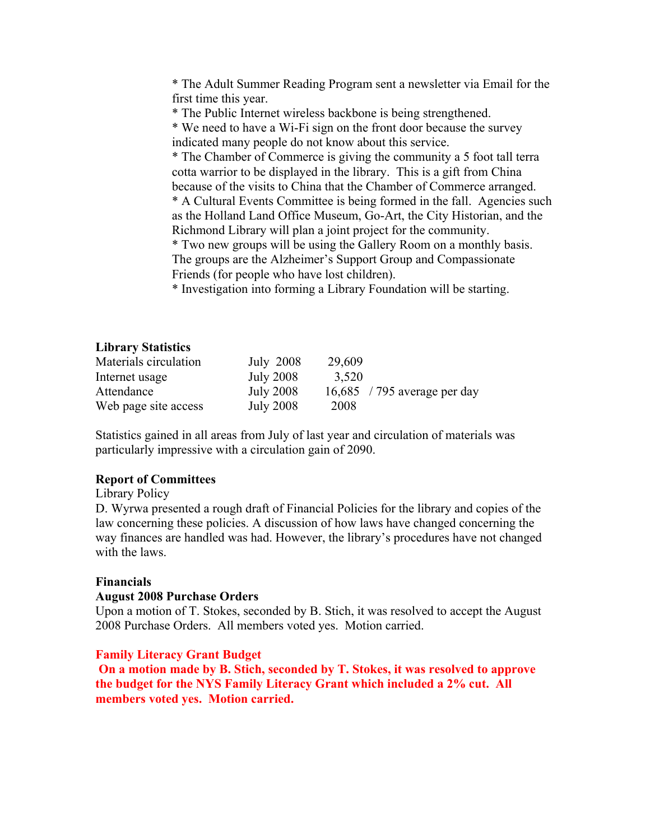\* The Adult Summer Reading Program sent a newsletter via Email for the first time this year.

\* The Public Internet wireless backbone is being strengthened.

\* We need to have a Wi-Fi sign on the front door because the survey indicated many people do not know about this service.

\* The Chamber of Commerce is giving the community a 5 foot tall terra cotta warrior to be displayed in the library. This is a gift from China because of the visits to China that the Chamber of Commerce arranged.

\* A Cultural Events Committee is being formed in the fall. Agencies such as the Holland Land Office Museum, Go-Art, the City Historian, and the Richmond Library will plan a joint project for the community.

\* Two new groups will be using the Gallery Room on a monthly basis. The groups are the Alzheimer's Support Group and Compassionate Friends (for people who have lost children).

\* Investigation into forming a Library Foundation will be starting.

#### **Library Statistics**

| Materials circulation | July 2008        | 29,609                       |  |
|-----------------------|------------------|------------------------------|--|
| Internet usage        | <b>July 2008</b> | 3,520                        |  |
| Attendance            | <b>July 2008</b> | 16,685 / 795 average per day |  |
| Web page site access  | <b>July 2008</b> | 2008                         |  |

Statistics gained in all areas from July of last year and circulation of materials was particularly impressive with a circulation gain of 2090.

#### **Report of Committees**

#### Library Policy

D. Wyrwa presented a rough draft of Financial Policies for the library and copies of the law concerning these policies. A discussion of how laws have changed concerning the way finances are handled was had. However, the library's procedures have not changed with the laws.

#### **Financials**

#### **August 2008 Purchase Orders**

Upon a motion of T. Stokes, seconded by B. Stich, it was resolved to accept the August 2008 Purchase Orders. All members voted yes. Motion carried.

#### **Family Literacy Grant Budget**

 **On a motion made by B. Stich, seconded by T. Stokes, it was resolved to approve the budget for the NYS Family Literacy Grant which included a 2% cut. All members voted yes. Motion carried.**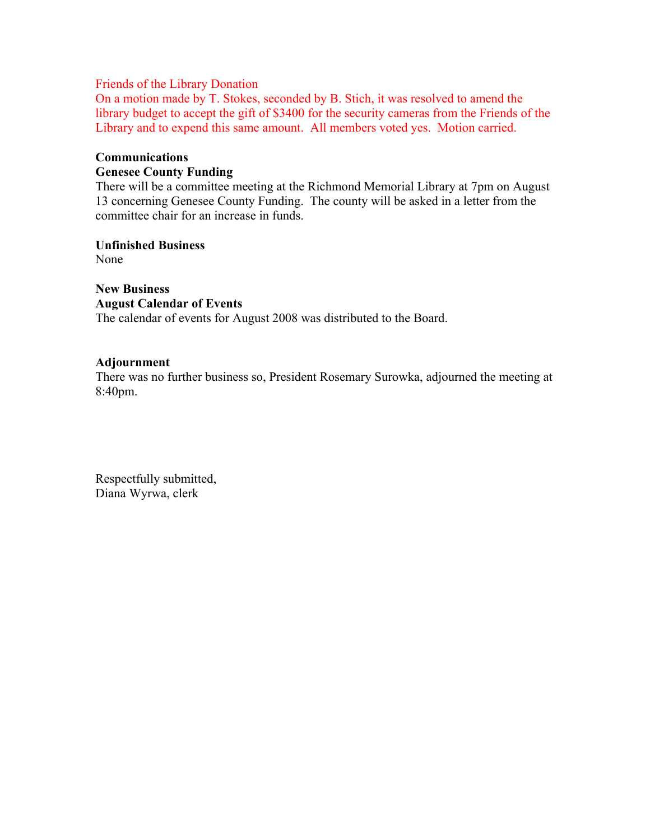#### Friends of the Library Donation

On a motion made by T. Stokes, seconded by B. Stich, it was resolved to amend the library budget to accept the gift of \$3400 for the security cameras from the Friends of the Library and to expend this same amount. All members voted yes. Motion carried.

# **Communications**

# **Genesee County Funding**

There will be a committee meeting at the Richmond Memorial Library at 7pm on August 13 concerning Genesee County Funding. The county will be asked in a letter from the committee chair for an increase in funds.

**Unfinished Business** 

None

**New Business August Calendar of Events**  The calendar of events for August 2008 was distributed to the Board.

#### **Adjournment**

There was no further business so, President Rosemary Surowka, adjourned the meeting at 8:40pm.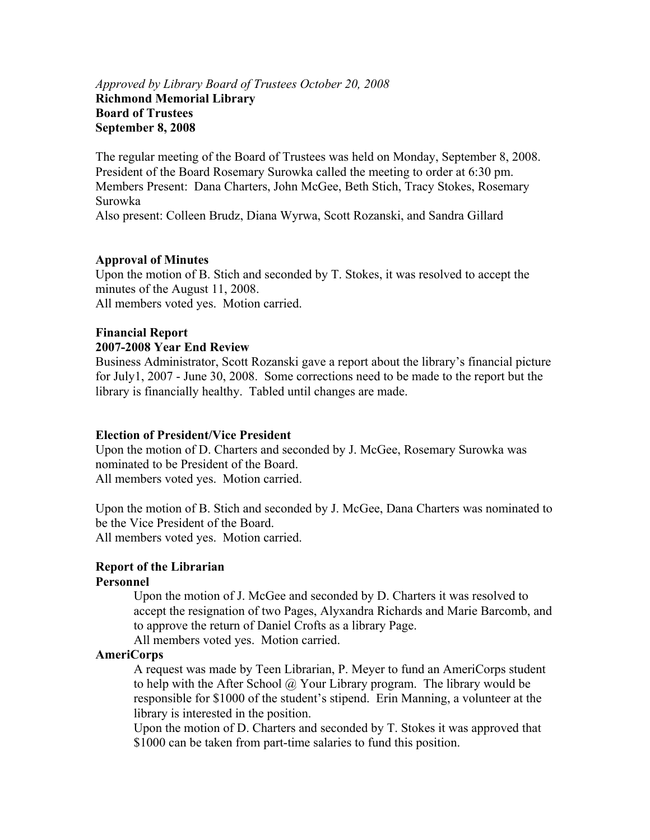#### *Approved by Library Board of Trustees October 20, 2008*  **Richmond Memorial Library Board of Trustees September 8, 2008**

The regular meeting of the Board of Trustees was held on Monday, September 8, 2008. President of the Board Rosemary Surowka called the meeting to order at 6:30 pm. Members Present: Dana Charters, John McGee, Beth Stich, Tracy Stokes, Rosemary Surowka

Also present: Colleen Brudz, Diana Wyrwa, Scott Rozanski, and Sandra Gillard

# **Approval of Minutes**

Upon the motion of B. Stich and seconded by T. Stokes, it was resolved to accept the minutes of the August 11, 2008. All members voted yes. Motion carried.

# **Financial Report**

#### **2007-2008 Year End Review**

Business Administrator, Scott Rozanski gave a report about the library's financial picture for July1, 2007 - June 30, 2008. Some corrections need to be made to the report but the library is financially healthy. Tabled until changes are made.

#### **Election of President/Vice President**

Upon the motion of D. Charters and seconded by J. McGee, Rosemary Surowka was nominated to be President of the Board. All members voted yes. Motion carried.

Upon the motion of B. Stich and seconded by J. McGee, Dana Charters was nominated to be the Vice President of the Board. All members voted yes. Motion carried.

# **Report of the Librarian**

#### **Personnel**

Upon the motion of J. McGee and seconded by D. Charters it was resolved to accept the resignation of two Pages, Alyxandra Richards and Marie Barcomb, and to approve the return of Daniel Crofts as a library Page. All members voted yes. Motion carried.

#### **AmeriCorps**

A request was made by Teen Librarian, P. Meyer to fund an AmeriCorps student to help with the After School  $\widehat{\omega}$  Your Library program. The library would be responsible for \$1000 of the student's stipend. Erin Manning, a volunteer at the library is interested in the position.

Upon the motion of D. Charters and seconded by T. Stokes it was approved that \$1000 can be taken from part-time salaries to fund this position.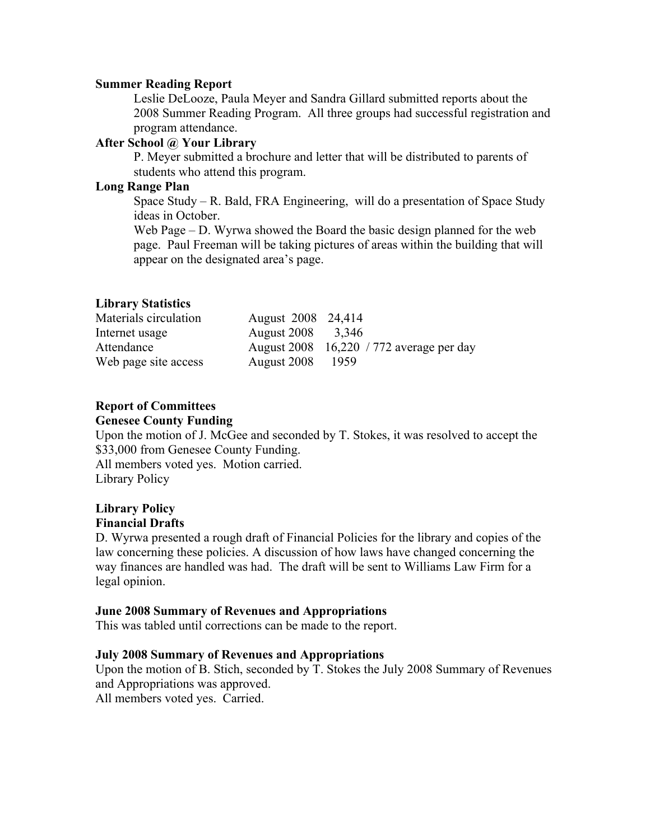#### **Summer Reading Report**

Leslie DeLooze, Paula Meyer and Sandra Gillard submitted reports about the 2008 Summer Reading Program. All three groups had successful registration and program attendance.

#### **After School @ Your Library**

P. Meyer submitted a brochure and letter that will be distributed to parents of students who attend this program.

# **Long Range Plan**

Space Study – R. Bald, FRA Engineering, will do a presentation of Space Study ideas in October.

Web Page – D. Wyrwa showed the Board the basic design planned for the web page. Paul Freeman will be taking pictures of areas within the building that will appear on the designated area's page.

# **Library Statistics**

| Materials circulation | August 2008 24,414 |                                          |
|-----------------------|--------------------|------------------------------------------|
| Internet usage        | August 2008 3,346  |                                          |
| Attendance            |                    | August 2008 16,220 / 772 average per day |
| Web page site access  | August 2008        | - 1959                                   |

# **Report of Committees**

### **Genesee County Funding**

Upon the motion of J. McGee and seconded by T. Stokes, it was resolved to accept the \$33,000 from Genesee County Funding.

All members voted yes. Motion carried. Library Policy

# **Library Policy Financial Drafts**

D. Wyrwa presented a rough draft of Financial Policies for the library and copies of the law concerning these policies. A discussion of how laws have changed concerning the way finances are handled was had. The draft will be sent to Williams Law Firm for a legal opinion.

#### **June 2008 Summary of Revenues and Appropriations**

This was tabled until corrections can be made to the report.

#### **July 2008 Summary of Revenues and Appropriations**

Upon the motion of B. Stich, seconded by T. Stokes the July 2008 Summary of Revenues and Appropriations was approved. All members voted yes. Carried.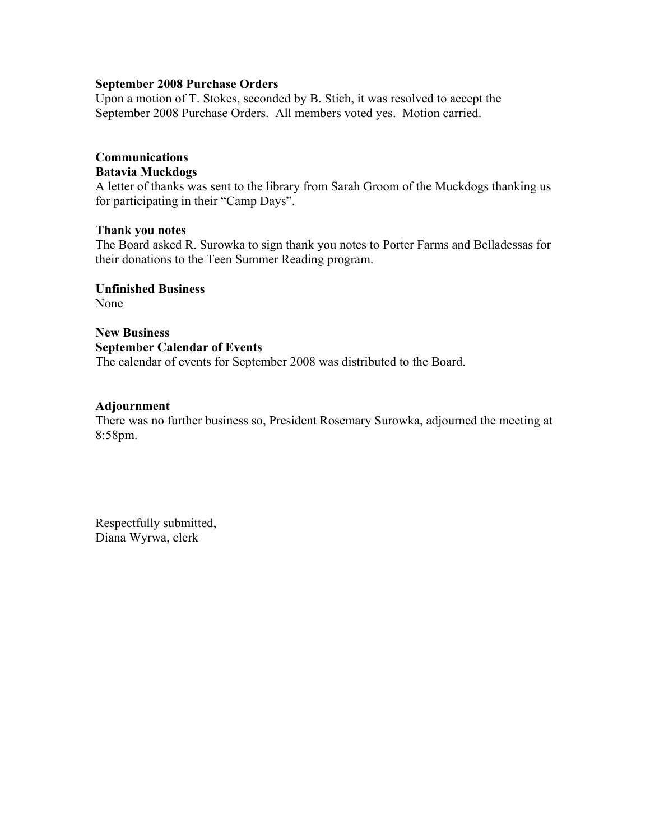#### **September 2008 Purchase Orders**

Upon a motion of T. Stokes, seconded by B. Stich, it was resolved to accept the September 2008 Purchase Orders. All members voted yes. Motion carried.

# **Communications**

# **Batavia Muckdogs**

A letter of thanks was sent to the library from Sarah Groom of the Muckdogs thanking us for participating in their "Camp Days".

#### **Thank you notes**

The Board asked R. Surowka to sign thank you notes to Porter Farms and Belladessas for their donations to the Teen Summer Reading program.

**Unfinished Business**  None

**New Business September Calendar of Events**  The calendar of events for September 2008 was distributed to the Board.

#### **Adjournment**

There was no further business so, President Rosemary Surowka, adjourned the meeting at 8:58pm.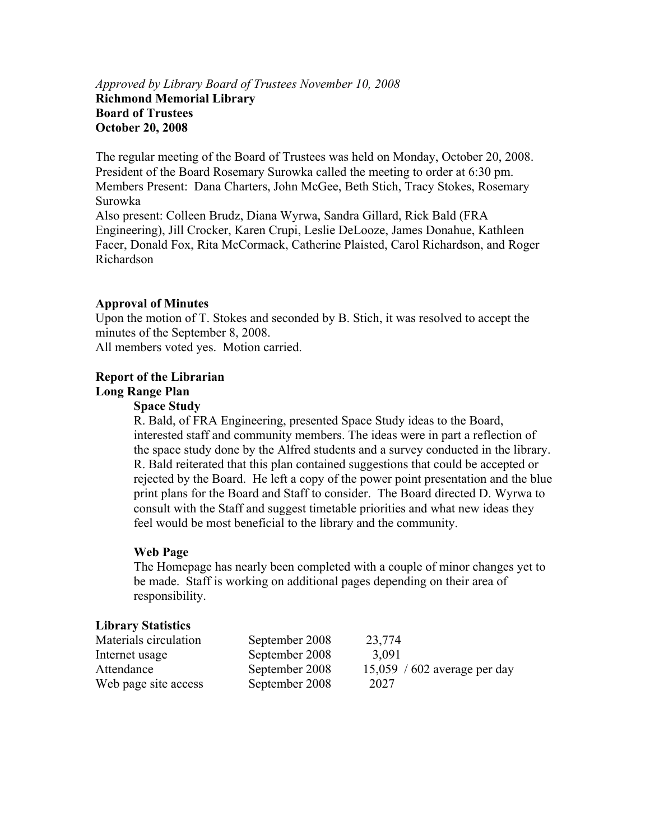# *Approved by Library Board of Trustees November 10, 2008*  **Richmond Memorial Library Board of Trustees October 20, 2008**

The regular meeting of the Board of Trustees was held on Monday, October 20, 2008. President of the Board Rosemary Surowka called the meeting to order at 6:30 pm. Members Present: Dana Charters, John McGee, Beth Stich, Tracy Stokes, Rosemary Surowka Also present: Colleen Brudz, Diana Wyrwa, Sandra Gillard, Rick Bald (FRA Engineering), Jill Crocker, Karen Crupi, Leslie DeLooze, James Donahue, Kathleen Facer, Donald Fox, Rita McCormack, Catherine Plaisted, Carol Richardson, and Roger

# Richardson

#### **Approval of Minutes**

Upon the motion of T. Stokes and seconded by B. Stich, it was resolved to accept the minutes of the September 8, 2008. All members voted yes. Motion carried.

# **Report of the Librarian**

# **Long Range Plan**

#### **Space Study**

R. Bald, of FRA Engineering, presented Space Study ideas to the Board, interested staff and community members. The ideas were in part a reflection of the space study done by the Alfred students and a survey conducted in the library. R. Bald reiterated that this plan contained suggestions that could be accepted or rejected by the Board. He left a copy of the power point presentation and the blue print plans for the Board and Staff to consider. The Board directed D. Wyrwa to consult with the Staff and suggest timetable priorities and what new ideas they feel would be most beneficial to the library and the community.

#### **Web Page**

The Homepage has nearly been completed with a couple of minor changes yet to be made. Staff is working on additional pages depending on their area of responsibility.

#### **Library Statistics**

| Materials circulation | September 2008 | 23,774                       |
|-----------------------|----------------|------------------------------|
| Internet usage        | September 2008 | 3,091                        |
| Attendance            | September 2008 | 15,059 / 602 average per day |
| Web page site access  | September 2008 | 2027                         |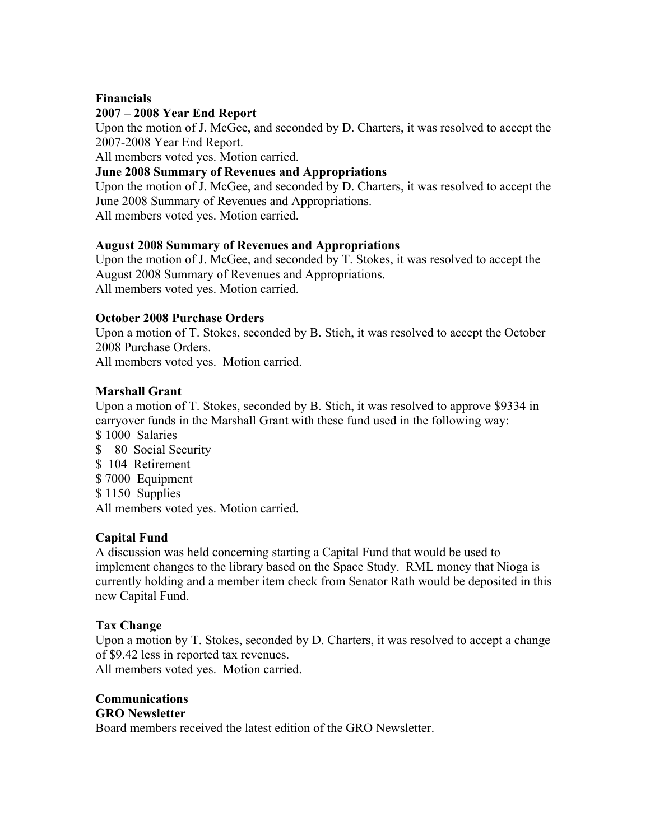# **Financials**

# **2007 – 2008 Year End Report**

Upon the motion of J. McGee, and seconded by D. Charters, it was resolved to accept the 2007-2008 Year End Report.

All members voted yes. Motion carried.

# **June 2008 Summary of Revenues and Appropriations**

Upon the motion of J. McGee, and seconded by D. Charters, it was resolved to accept the June 2008 Summary of Revenues and Appropriations. All members voted yes. Motion carried.

# **August 2008 Summary of Revenues and Appropriations**

Upon the motion of J. McGee, and seconded by T. Stokes, it was resolved to accept the August 2008 Summary of Revenues and Appropriations. All members voted yes. Motion carried.

# **October 2008 Purchase Orders**

Upon a motion of T. Stokes, seconded by B. Stich, it was resolved to accept the October 2008 Purchase Orders.

All members voted yes. Motion carried.

# **Marshall Grant**

Upon a motion of T. Stokes, seconded by B. Stich, it was resolved to approve \$9334 in carryover funds in the Marshall Grant with these fund used in the following way:

- \$1000 Salaries
- \$ 80 Social Security
- \$ 104 Retirement
- \$ 7000 Equipment
- \$1150 Supplies
- All members voted yes. Motion carried.

# **Capital Fund**

A discussion was held concerning starting a Capital Fund that would be used to implement changes to the library based on the Space Study. RML money that Nioga is currently holding and a member item check from Senator Rath would be deposited in this new Capital Fund.

#### **Tax Change**

Upon a motion by T. Stokes, seconded by D. Charters, it was resolved to accept a change of \$9.42 less in reported tax revenues.

All members voted yes. Motion carried.

# **Communications**

# **GRO Newsletter**

Board members received the latest edition of the GRO Newsletter.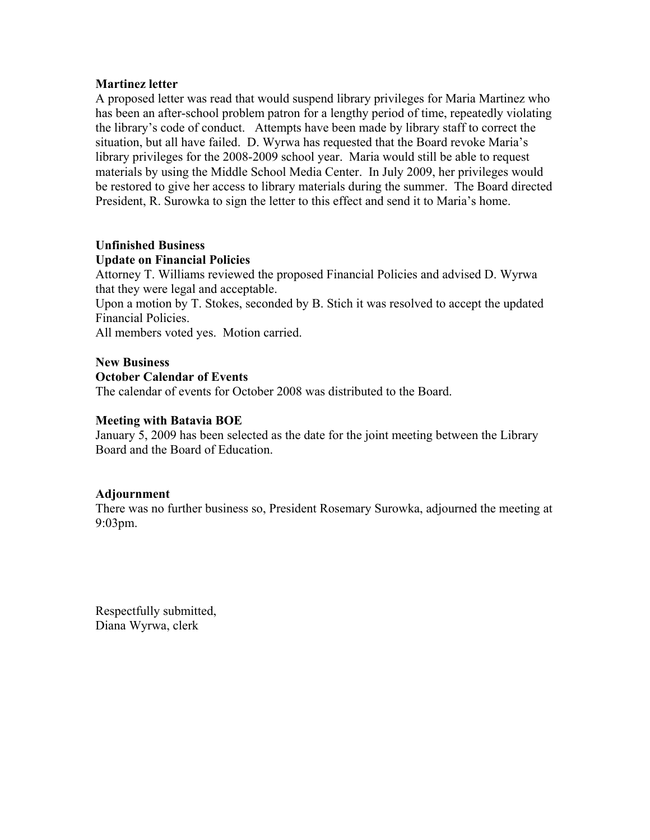#### **Martinez letter**

A proposed letter was read that would suspend library privileges for Maria Martinez who has been an after-school problem patron for a lengthy period of time, repeatedly violating the library's code of conduct. Attempts have been made by library staff to correct the situation, but all have failed. D. Wyrwa has requested that the Board revoke Maria's library privileges for the 2008-2009 school year. Maria would still be able to request materials by using the Middle School Media Center. In July 2009, her privileges would be restored to give her access to library materials during the summer. The Board directed President, R. Surowka to sign the letter to this effect and send it to Maria's home.

# **Unfinished Business**

#### **Update on Financial Policies**

Attorney T. Williams reviewed the proposed Financial Policies and advised D. Wyrwa that they were legal and acceptable.

Upon a motion by T. Stokes, seconded by B. Stich it was resolved to accept the updated Financial Policies.

All members voted yes. Motion carried.

#### **New Business**

#### **October Calendar of Events**

The calendar of events for October 2008 was distributed to the Board.

### **Meeting with Batavia BOE**

January 5, 2009 has been selected as the date for the joint meeting between the Library Board and the Board of Education.

#### **Adjournment**

There was no further business so, President Rosemary Surowka, adjourned the meeting at 9:03pm.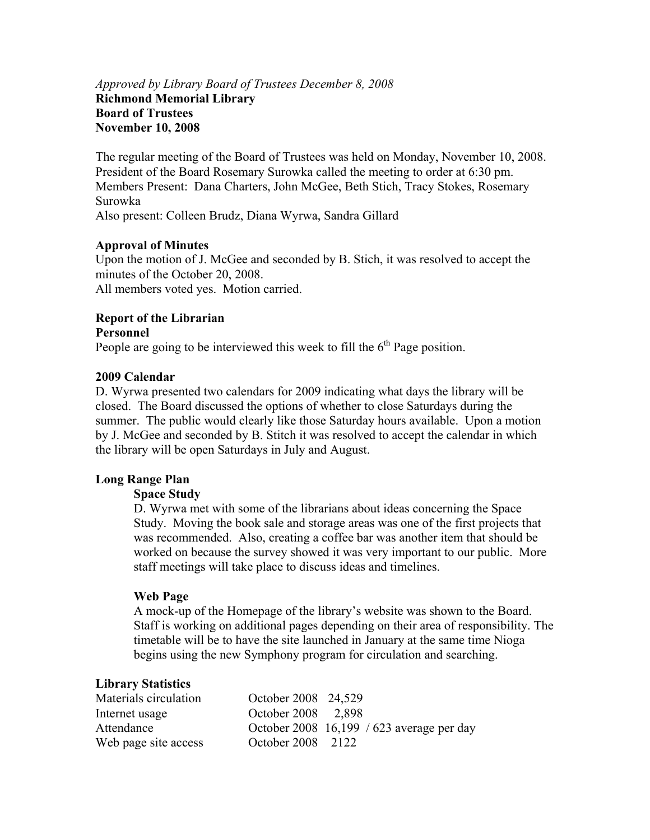# *Approved by Library Board of Trustees December 8, 2008*  **Richmond Memorial Library Board of Trustees November 10, 2008**

The regular meeting of the Board of Trustees was held on Monday, November 10, 2008. President of the Board Rosemary Surowka called the meeting to order at 6:30 pm. Members Present: Dana Charters, John McGee, Beth Stich, Tracy Stokes, Rosemary Surowka Also present: Colleen Brudz, Diana Wyrwa, Sandra Gillard

#### **Approval of Minutes**

Upon the motion of J. McGee and seconded by B. Stich, it was resolved to accept the minutes of the October 20, 2008. All members voted yes. Motion carried.

# **Report of the Librarian**

#### **Personnel**

People are going to be interviewed this week to fill the  $6<sup>th</sup>$  Page position.

#### **2009 Calendar**

D. Wyrwa presented two calendars for 2009 indicating what days the library will be closed. The Board discussed the options of whether to close Saturdays during the summer. The public would clearly like those Saturday hours available. Upon a motion by J. McGee and seconded by B. Stitch it was resolved to accept the calendar in which the library will be open Saturdays in July and August.

#### **Long Range Plan**

#### **Space Study**

D. Wyrwa met with some of the librarians about ideas concerning the Space Study. Moving the book sale and storage areas was one of the first projects that was recommended. Also, creating a coffee bar was another item that should be worked on because the survey showed it was very important to our public. More staff meetings will take place to discuss ideas and timelines.

#### **Web Page**

A mock-up of the Homepage of the library's website was shown to the Board. Staff is working on additional pages depending on their area of responsibility. The timetable will be to have the site launched in January at the same time Nioga begins using the new Symphony program for circulation and searching.

#### **Library Statistics**

| Materials circulation | October 2008 24,529 |                                           |
|-----------------------|---------------------|-------------------------------------------|
| Internet usage        | October 2008 2,898  |                                           |
| Attendance            |                     | October 2008 16,199 / 623 average per day |
| Web page site access  | October 2008 2122   |                                           |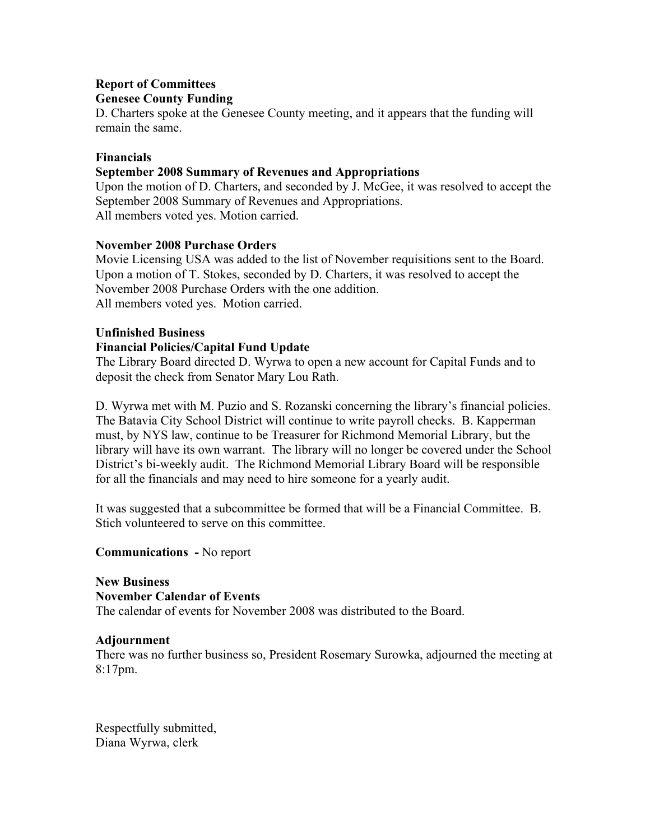# **Report of Committees Genesee County Funding**

D. Charters spoke at the Genesee County meeting, and it appears that the funding will remain the same.

# **Financials**

# **September 2008 Summary of Revenues and Appropriations**

Upon the motion of D. Charters, and seconded by J. McGee, it was resolved to accept the September 2008 Summary of Revenues and Appropriations. All members voted yes. Motion carried.

# **November 2008 Purchase Orders**

Movie Licensing USA was added to the list of November requisitions sent to the Board. Upon a motion of T. Stokes, seconded by D. Charters, it was resolved to accept the November 2008 Purchase Orders with the one addition. All members voted yes. Motion carried.

#### **Unfinished Business**

# **Financial Policies/Capital Fund Update**

The Library Board directed D. Wyrwa to open a new account for Capital Funds and to deposit the check from Senator Mary Lou Rath.

D. Wyrwa met with M. Puzio and S. Rozanski concerning the library's financial policies. The Batavia City School District will continue to write payroll checks. B. Kapperman must, by NYS law, continue to be Treasurer for Richmond Memorial Library, but the library will have its own warrant. The library will no longer be covered under the School District's bi-weekly audit. The Richmond Memorial Library Board will be responsible for all the financials and may need to hire someone for a yearly audit.

It was suggested that a subcommittee be formed that will be a Financial Committee. B. Stich volunteered to serve on this committee.

#### **Communications -** No report

**New Business November Calendar of Events**  The calendar of events for November 2008 was distributed to the Board.

#### **Adjournment**

There was no further business so, President Rosemary Surowka, adjourned the meeting at 8:17pm.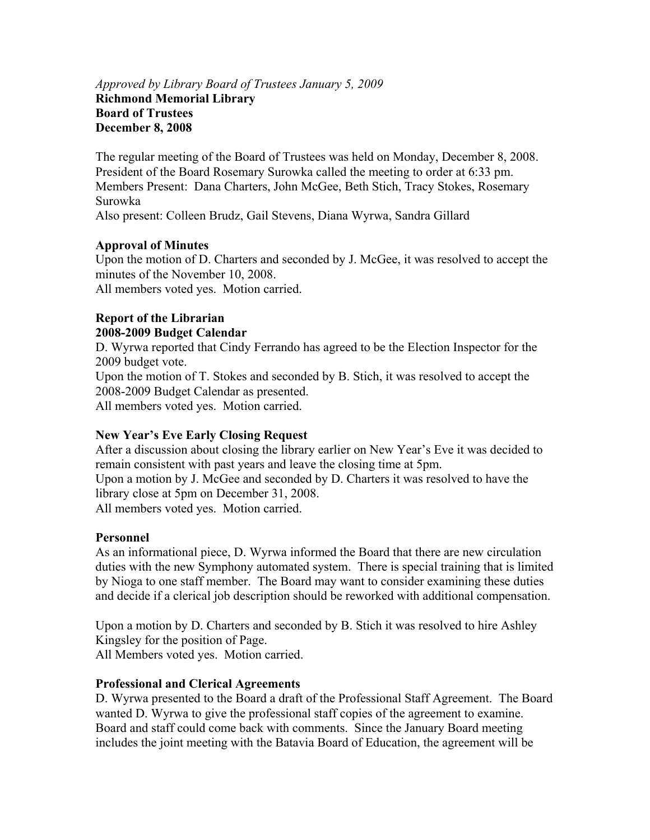### *Approved by Library Board of Trustees January 5, 2009*  **Richmond Memorial Library Board of Trustees December 8, 2008**

The regular meeting of the Board of Trustees was held on Monday, December 8, 2008. President of the Board Rosemary Surowka called the meeting to order at 6:33 pm. Members Present: Dana Charters, John McGee, Beth Stich, Tracy Stokes, Rosemary Surowka

Also present: Colleen Brudz, Gail Stevens, Diana Wyrwa, Sandra Gillard

# **Approval of Minutes**

Upon the motion of D. Charters and seconded by J. McGee, it was resolved to accept the minutes of the November 10, 2008. All members voted yes. Motion carried.

# **Report of the Librarian 2008-2009 Budget Calendar**

D. Wyrwa reported that Cindy Ferrando has agreed to be the Election Inspector for the 2009 budget vote.

Upon the motion of T. Stokes and seconded by B. Stich, it was resolved to accept the 2008-2009 Budget Calendar as presented.

All members voted yes. Motion carried.

# **New Year's Eve Early Closing Request**

After a discussion about closing the library earlier on New Year's Eve it was decided to remain consistent with past years and leave the closing time at 5pm. Upon a motion by J. McGee and seconded by D. Charters it was resolved to have the library close at 5pm on December 31, 2008. All members voted yes. Motion carried.

# **Personnel**

As an informational piece, D. Wyrwa informed the Board that there are new circulation duties with the new Symphony automated system. There is special training that is limited by Nioga to one staff member. The Board may want to consider examining these duties and decide if a clerical job description should be reworked with additional compensation.

Upon a motion by D. Charters and seconded by B. Stich it was resolved to hire Ashley Kingsley for the position of Page. All Members voted yes. Motion carried.

# **Professional and Clerical Agreements**

D. Wyrwa presented to the Board a draft of the Professional Staff Agreement. The Board wanted D. Wyrwa to give the professional staff copies of the agreement to examine. Board and staff could come back with comments. Since the January Board meeting includes the joint meeting with the Batavia Board of Education, the agreement will be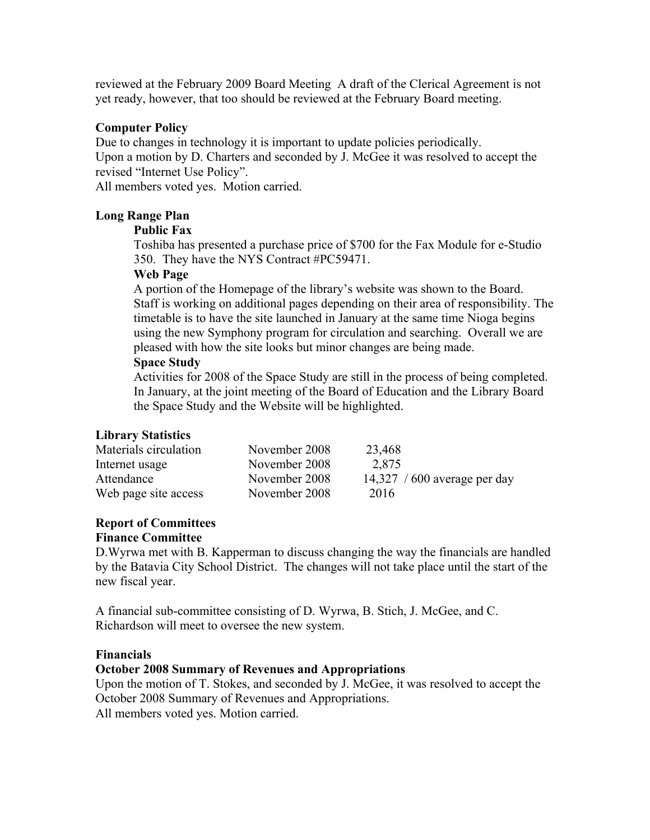reviewed at the February 2009 Board Meeting A draft of the Clerical Agreement is not yet ready, however, that too should be reviewed at the February Board meeting.

# **Computer Policy**

Due to changes in technology it is important to update policies periodically. Upon a motion by D. Charters and seconded by J. McGee it was resolved to accept the

revised "Internet Use Policy".

All members voted yes. Motion carried.

#### **Long Range Plan**

#### **Public Fax**

Toshiba has presented a purchase price of \$700 for the Fax Module for e-Studio 350. They have the NYS Contract #PC59471.

#### **Web Page**

A portion of the Homepage of the library's website was shown to the Board. Staff is working on additional pages depending on their area of responsibility. The timetable is to have the site launched in January at the same time Nioga begins using the new Symphony program for circulation and searching. Overall we are pleased with how the site looks but minor changes are being made.

# **Space Study**

Activities for 2008 of the Space Study are still in the process of being completed. In January, at the joint meeting of the Board of Education and the Library Board the Space Study and the Website will be highlighted.

# **Library Statistics**

| Materials circulation | November 2008 | 23,468                       |
|-----------------------|---------------|------------------------------|
| Internet usage        | November 2008 | 2,875                        |
| Attendance            | November 2008 | 14,327 / 600 average per day |
| Web page site access  | November 2008 | 2016                         |

# **Report of Committees**

#### **Finance Committee**

D.Wyrwa met with B. Kapperman to discuss changing the way the financials are handled by the Batavia City School District. The changes will not take place until the start of the new fiscal year.

A financial sub-committee consisting of D. Wyrwa, B. Stich, J. McGee, and C. Richardson will meet to oversee the new system.

#### **Financials**

# **October 2008 Summary of Revenues and Appropriations**

Upon the motion of T. Stokes, and seconded by J. McGee, it was resolved to accept the October 2008 Summary of Revenues and Appropriations.

All members voted yes. Motion carried.